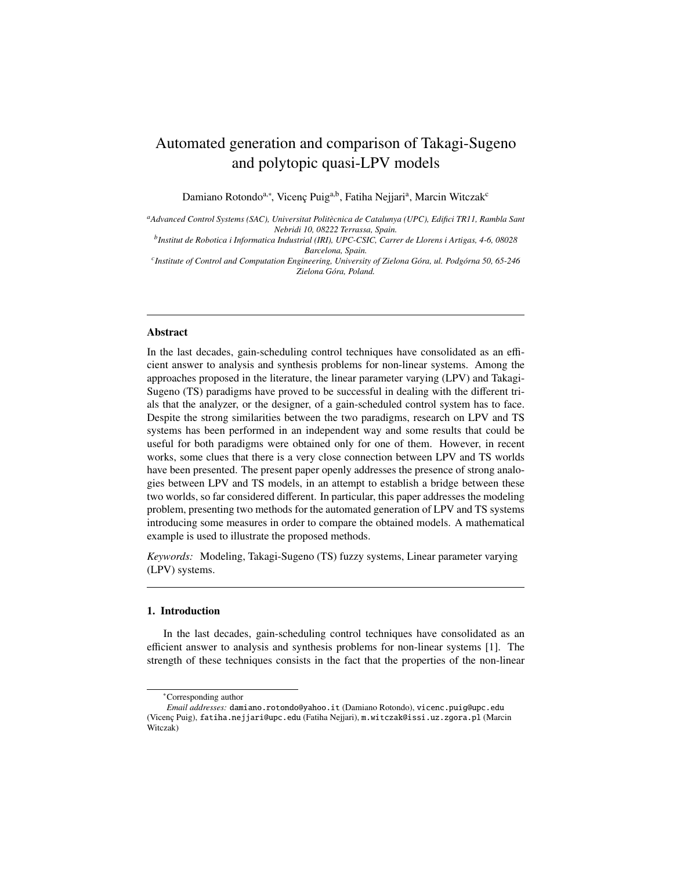# Automated generation and comparison of Takagi-Sugeno and polytopic quasi-LPV models

Damiano Rotondo<sup>a,∗</sup>, Vicenç Puig<sup>a,b</sup>, Fatiha Nejjari<sup>a</sup>, Marcin Witczak<sup>c</sup>

<sup>a</sup>*Advanced Control Systems (SAC), Universitat Politècnica de Catalunya (UPC), Edifici TR11, Rambla Sant Nebridi 10, 08222 Terrassa, Spain.*

*b Institut de Robotica i Informatica Industrial (IRI), UPC-CSIC, Carrer de Llorens i Artigas, 4-6, 08028 Barcelona, Spain.*

<sup>c</sup> Institute of Control and Computation Engineering, University of Zielona Góra, ul. Podgórna 50, 65-246<sup>c</sup> *Zielona G´ora, Poland.*

# Abstract

In the last decades, gain-scheduling control techniques have consolidated as an efficient answer to analysis and synthesis problems for non-linear systems. Among the approaches proposed in the literature, the linear parameter varying (LPV) and Takagi-Sugeno (TS) paradigms have proved to be successful in dealing with the different trials that the analyzer, or the designer, of a gain-scheduled control system has to face. Despite the strong similarities between the two paradigms, research on LPV and TS systems has been performed in an independent way and some results that could be useful for both paradigms were obtained only for one of them. However, in recent works, some clues that there is a very close connection between LPV and TS worlds have been presented. The present paper openly addresses the presence of strong analogies between LPV and TS models, in an attempt to establish a bridge between these two worlds, so far considered different. In particular, this paper addresses the modeling problem, presenting two methods for the automated generation of LPV and TS systems introducing some measures in order to compare the obtained models. A mathematical example is used to illustrate the proposed methods.

*Keywords:* Modeling, Takagi-Sugeno (TS) fuzzy systems, Linear parameter varying (LPV) systems.

# 1. Introduction

In the last decades, gain-scheduling control techniques have consolidated as an efficient answer to analysis and synthesis problems for non-linear systems [1]. The strength of these techniques consists in the fact that the properties of the non-linear

<sup>∗</sup>Corresponding author

*Email addresses:* damiano.rotondo@yahoo.it (Damiano Rotondo), vicenc.puig@upc.edu (Vicenc¸ Puig), fatiha.nejjari@upc.edu (Fatiha Nejjari), m.witczak@issi.uz.zgora.pl (Marcin Witczak)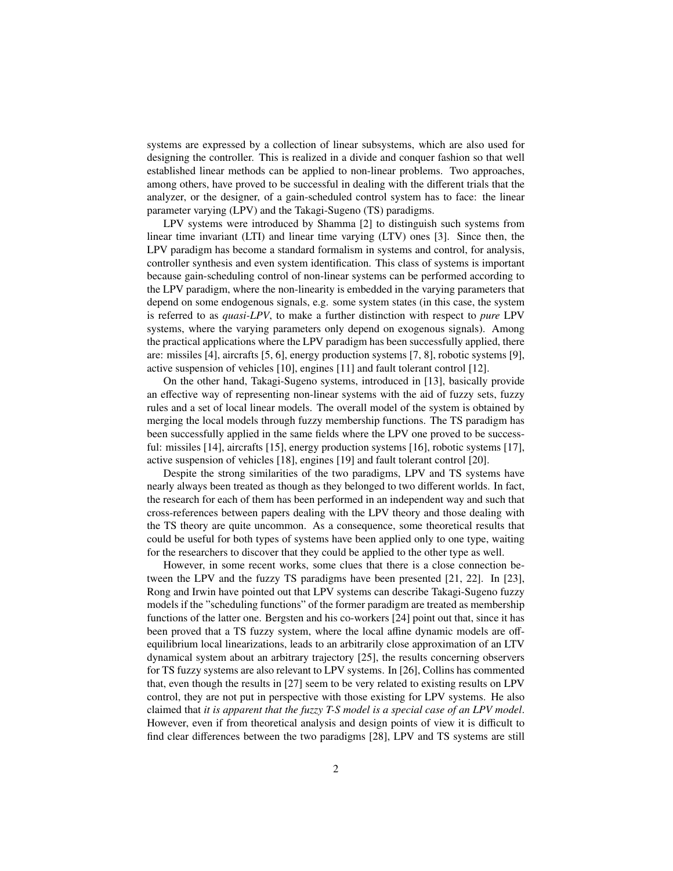systems are expressed by a collection of linear subsystems, which are also used for designing the controller. This is realized in a divide and conquer fashion so that well established linear methods can be applied to non-linear problems. Two approaches, among others, have proved to be successful in dealing with the different trials that the analyzer, or the designer, of a gain-scheduled control system has to face: the linear parameter varying (LPV) and the Takagi-Sugeno (TS) paradigms.

LPV systems were introduced by Shamma [2] to distinguish such systems from linear time invariant (LTI) and linear time varying (LTV) ones [3]. Since then, the LPV paradigm has become a standard formalism in systems and control, for analysis, controller synthesis and even system identification. This class of systems is important because gain-scheduling control of non-linear systems can be performed according to the LPV paradigm, where the non-linearity is embedded in the varying parameters that depend on some endogenous signals, e.g. some system states (in this case, the system is referred to as *quasi-LPV*, to make a further distinction with respect to *pure* LPV systems, where the varying parameters only depend on exogenous signals). Among the practical applications where the LPV paradigm has been successfully applied, there are: missiles [4], aircrafts [5, 6], energy production systems [7, 8], robotic systems [9], active suspension of vehicles [10], engines [11] and fault tolerant control [12].

On the other hand, Takagi-Sugeno systems, introduced in [13], basically provide an effective way of representing non-linear systems with the aid of fuzzy sets, fuzzy rules and a set of local linear models. The overall model of the system is obtained by merging the local models through fuzzy membership functions. The TS paradigm has been successfully applied in the same fields where the LPV one proved to be successful: missiles [14], aircrafts [15], energy production systems [16], robotic systems [17], active suspension of vehicles [18], engines [19] and fault tolerant control [20].

Despite the strong similarities of the two paradigms, LPV and TS systems have nearly always been treated as though as they belonged to two different worlds. In fact, the research for each of them has been performed in an independent way and such that cross-references between papers dealing with the LPV theory and those dealing with the TS theory are quite uncommon. As a consequence, some theoretical results that could be useful for both types of systems have been applied only to one type, waiting for the researchers to discover that they could be applied to the other type as well.

However, in some recent works, some clues that there is a close connection between the LPV and the fuzzy TS paradigms have been presented [21, 22]. In [23], Rong and Irwin have pointed out that LPV systems can describe Takagi-Sugeno fuzzy models if the "scheduling functions" of the former paradigm are treated as membership functions of the latter one. Bergsten and his co-workers [24] point out that, since it has been proved that a TS fuzzy system, where the local affine dynamic models are offequilibrium local linearizations, leads to an arbitrarily close approximation of an LTV dynamical system about an arbitrary trajectory [25], the results concerning observers for TS fuzzy systems are also relevant to LPV systems. In [26], Collins has commented that, even though the results in [27] seem to be very related to existing results on LPV control, they are not put in perspective with those existing for LPV systems. He also claimed that *it is apparent that the fuzzy T-S model is a special case of an LPV model*. However, even if from theoretical analysis and design points of view it is difficult to find clear differences between the two paradigms [28], LPV and TS systems are still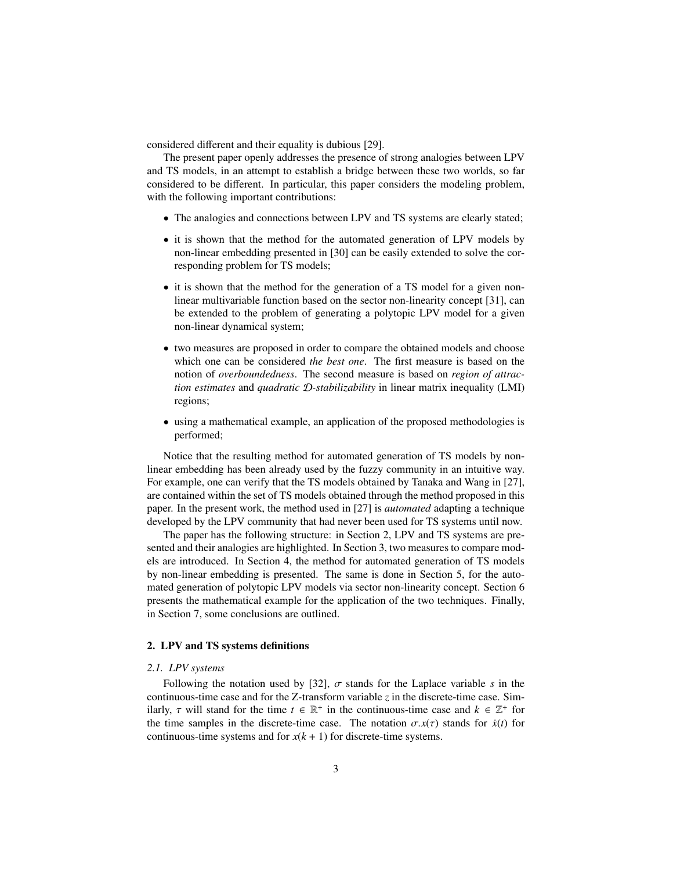considered different and their equality is dubious [29].

The present paper openly addresses the presence of strong analogies between LPV and TS models, in an attempt to establish a bridge between these two worlds, so far considered to be different. In particular, this paper considers the modeling problem, with the following important contributions:

- The analogies and connections between LPV and TS systems are clearly stated;
- it is shown that the method for the automated generation of LPV models by non-linear embedding presented in [30] can be easily extended to solve the corresponding problem for TS models;
- it is shown that the method for the generation of a TS model for a given nonlinear multivariable function based on the sector non-linearity concept [31], can be extended to the problem of generating a polytopic LPV model for a given non-linear dynamical system;
- two measures are proposed in order to compare the obtained models and choose which one can be considered *the best one*. The first measure is based on the notion of *overboundedness*. The second measure is based on *region of attraction estimates* and *quadratic* D*-stabilizability* in linear matrix inequality (LMI) regions;
- using a mathematical example, an application of the proposed methodologies is performed;

Notice that the resulting method for automated generation of TS models by nonlinear embedding has been already used by the fuzzy community in an intuitive way. For example, one can verify that the TS models obtained by Tanaka and Wang in [27], are contained within the set of TS models obtained through the method proposed in this paper. In the present work, the method used in [27] is *automated* adapting a technique developed by the LPV community that had never been used for TS systems until now.

The paper has the following structure: in Section 2, LPV and TS systems are presented and their analogies are highlighted. In Section 3, two measures to compare models are introduced. In Section 4, the method for automated generation of TS models by non-linear embedding is presented. The same is done in Section 5, for the automated generation of polytopic LPV models via sector non-linearity concept. Section 6 presents the mathematical example for the application of the two techniques. Finally, in Section 7, some conclusions are outlined.

#### 2. LPV and TS systems definitions

#### *2.1. LPV systems*

Following the notation used by [32],  $\sigma$  stands for the Laplace variable *s* in the continuous-time case and for the Z-transform variable  $\zeta$  in the discrete-time case. Similarly,  $\tau$  will stand for the time  $t \in \mathbb{R}^+$  in the continuous-time case and  $k \in \mathbb{Z}^+$  for the time samples in the discrete-time case. The notation  $\sigma$   $x(\tau)$  stands for  $\dot{x}(t)$  for the time samples in the discrete-time case. The notation  $\sigma.x(\tau)$  stands for  $\dot{x}(t)$  for continuous-time systems and for  $x(k + 1)$  for discrete-time systems.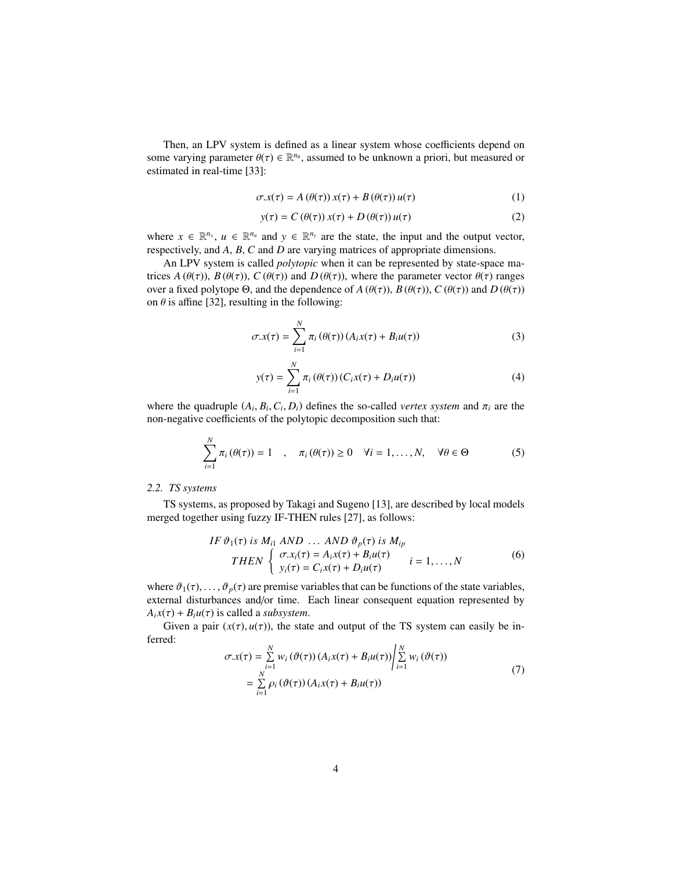Then, an LPV system is defined as a linear system whose coefficients depend on some varying parameter  $\theta(\tau) \in \mathbb{R}^{n_{\theta}}$ , assumed to be unknown a priori, but measured or estimated in real-time [33]. estimated in real-time [33]:

$$
\sigma \cdot x(\tau) = A(\theta(\tau)) x(\tau) + B(\theta(\tau)) u(\tau) \tag{1}
$$

$$
y(\tau) = C(\theta(\tau)) x(\tau) + D(\theta(\tau)) u(\tau)
$$
 (2)

where  $x \in \mathbb{R}^{n_x}$ ,  $u \in \mathbb{R}^{n_u}$  and  $y \in \mathbb{R}^{n_y}$  are the state, the input and the output vector, respectively, and *A*, *B*, *C* and *D* are varying matrices of appropriate dimensions.

An LPV system is called *polytopic* when it can be represented by state-space matrices  $A(\theta(\tau))$ ,  $B(\theta(\tau))$ ,  $C(\theta(\tau))$  and  $D(\theta(\tau))$ , where the parameter vector  $\theta(\tau)$  ranges over a fixed polytope Θ, and the dependence of *A* ( $θ(τ)$ ), *B* ( $θ(τ)$ ), *C* ( $θ(τ)$ ) and *D* ( $θ(τ)$ ) on  $\theta$  is affine [32], resulting in the following:

$$
\sigma.x(\tau) = \sum_{i=1}^{N} \pi_i(\theta(\tau)) (A_i x(\tau) + B_i u(\tau))
$$
\n(3)

$$
y(\tau) = \sum_{i=1}^{N} \pi_i (\theta(\tau)) (C_i x(\tau) + D_i u(\tau))
$$
 (4)

where the quadruple  $(A_i, B_i, C_i, D_i)$  defines the so-called *vertex system* and  $\pi_i$  are the non-negative coefficients of the polytonic decomposition such that non-negative coefficients of the polytopic decomposition such that:

$$
\sum_{i=1}^{N} \pi_i(\theta(\tau)) = 1 \quad , \quad \pi_i(\theta(\tau)) \ge 0 \quad \forall i = 1, ..., N, \quad \forall \theta \in \Theta
$$
 (5)

## *2.2. TS systems*

TS systems, as proposed by Takagi and Sugeno [13], are described by local models merged together using fuzzy IF-THEN rules [27], as follows:

$$
IF \vartheta_1(\tau) \text{ is } M_{i1} \text{ AND } \dots \text{ AND } \vartheta_p(\tau) \text{ is } M_{ip}
$$
  
\n
$$
THEN \begin{cases} \sigma.x_i(\tau) = A_i x(\tau) + B_i u(\tau) \\ y_i(\tau) = C_i x(\tau) + D_i u(\tau) \end{cases} i = 1, ..., N
$$
 (6)

where  $\vartheta_1(\tau), \ldots, \vartheta_p(\tau)$  are premise variables that can be functions of the state variables, external disturbances and/or time. Each linear consequent equation represented by  $A_i x(\tau) + B_i u(\tau)$  is called a *subsystem*.

Given a pair  $(x(\tau), u(\tau))$ , the state and output of the TS system can easily be inferred:

$$
\sigma.x(\tau) = \sum_{i=1}^{N} w_i (\vartheta(\tau)) (A_i x(\tau) + B_i u(\tau)) \Big| \sum_{i=1}^{N} w_i (\vartheta(\tau))
$$
  
= 
$$
\sum_{i=1}^{N} \rho_i (\vartheta(\tau)) (A_i x(\tau) + B_i u(\tau))
$$
 (7)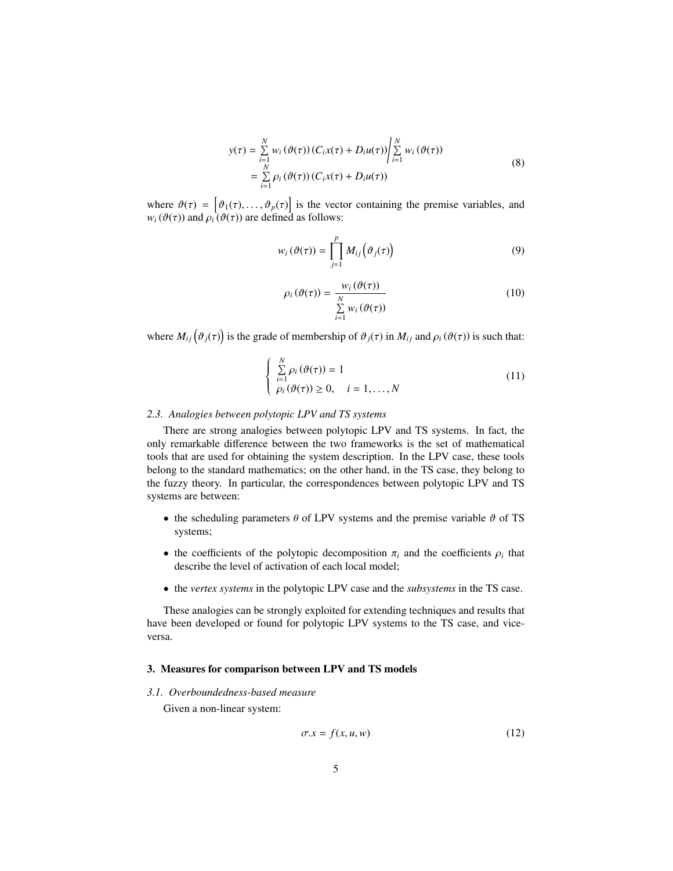$$
y(\tau) = \sum_{i=1}^{N} w_i (\vartheta(\tau)) (C_i x(\tau) + D_i u(\tau)) \Big| \sum_{i=1}^{N} w_i (\vartheta(\tau))
$$
  
= 
$$
\sum_{i=1}^{N} \rho_i (\vartheta(\tau)) (C_i x(\tau) + D_i u(\tau))
$$
 (8)

where  $\vartheta(\tau) = [\vartheta_1(\tau), \dots, \vartheta_p(\tau)]$  is the vector containing the premise variables, and  $\vartheta_1(\vartheta(\tau))$  and  $\vartheta_2(\vartheta(\tau))$  are defined as follows:  $w_i(\theta(\tau))$  and  $\rho_i(\theta(\tau))$  are defined as follows:

$$
w_i(\vartheta(\tau)) = \prod_{j=1}^p M_{ij}(\vartheta_j(\tau))
$$
\n(9)

$$
\rho_i(\vartheta(\tau)) = \frac{w_i(\vartheta(\tau))}{\sum\limits_{i=1}^N w_i(\vartheta(\tau))}
$$
\n(10)

where  $M_{ij}(\theta_j(\tau))$  is the grade of membership of  $\theta_j(\tau)$  in  $M_{ij}$  and  $\rho_i(\theta(\tau))$  is such that:

$$
\begin{cases} \sum_{i=1}^{N} \rho_i(\vartheta(\tau)) = 1\\ \rho_i(\vartheta(\tau)) \ge 0, \quad i = 1, ..., N \end{cases}
$$
\n(11)

# *2.3. Analogies between polytopic LPV and TS systems*

There are strong analogies between polytopic LPV and TS systems. In fact, the only remarkable difference between the two frameworks is the set of mathematical tools that are used for obtaining the system description. In the LPV case, these tools belong to the standard mathematics; on the other hand, in the TS case, they belong to the fuzzy theory. In particular, the correspondences between polytopic LPV and TS systems are between:

- the scheduling parameters  $\theta$  of LPV systems and the premise variable  $\vartheta$  of TS systems;
- the coefficients of the polytopic decomposition  $\pi_i$  and the coefficients  $\rho_i$  that describe the level of activation of each local model. describe the level of activation of each local model;
- the *vertex systems* in the polytopic LPV case and the *subsystems* in the TS case.

These analogies can be strongly exploited for extending techniques and results that have been developed or found for polytopic LPV systems to the TS case, and viceversa.

#### 3. Measures for comparison between LPV and TS models

*3.1. Overboundedness-based measure*

Given a non-linear system:

$$
\sigma \cdot x = f(x, u, w) \tag{12}
$$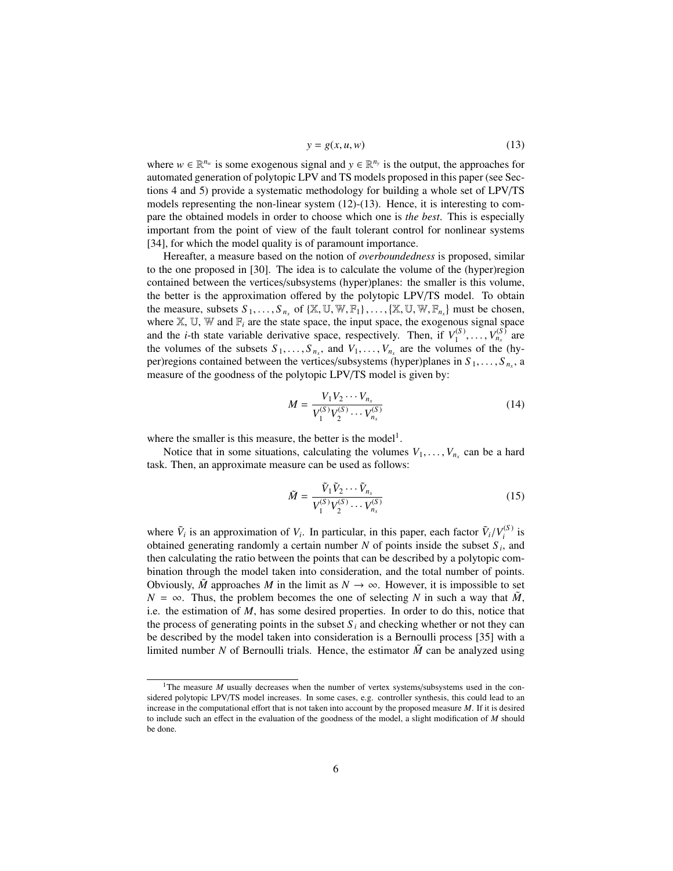$$
y = g(x, u, w) \tag{13}
$$

where  $w \in \mathbb{R}^{n_w}$  is some exogenous signal and  $y \in \mathbb{R}^{n_y}$  is the output, the approaches for automated generation of polytopic LPV and TS models proposed in this paper (see Sections 4 and 5) provide a systematic methodology for building a whole set of LPV/TS models representing the non-linear system (12)-(13). Hence, it is interesting to compare the obtained models in order to choose which one is *the best*. This is especially important from the point of view of the fault tolerant control for nonlinear systems [34], for which the model quality is of paramount importance.

Hereafter, a measure based on the notion of *overboundedness* is proposed, similar to the one proposed in [30]. The idea is to calculate the volume of the (hyper)region contained between the vertices/subsystems (hyper)planes: the smaller is this volume, the better is the approximation offered by the polytopic LPV/TS model. To obtain the measure, subsets  $S_1, \ldots, S_{n_x}$  of  $\{X, U, W, F_1\}, \ldots, \{X, U, W, F_{n_x}\}$  must be chosen, where  $X \parallel V$  and  $F_1$  are the state space, the input space, the exogenous signal space where  $X$ ,  $U$ ,  $W$  and  $F_i$  are the state space, the input space, the exogenous signal space and the *i*-th state variable derivative space, respectively. Then, if  $V_1^{(S)}$  $V_{n_x}^{(S)}$ ,  $V_{n_x}^{(S)}$  are<br>mes of the (bythe volumes of the subsets  $S_1, \ldots, S_{n_x}$ , and  $V_1, \ldots, V_{n_x}$  are the volumes of the (hy-<br>percentions contained between the vertices/subsystems (hyperculations in S. per)regions contained between the vertices/subsystems (hyper)planes in  $S_1, \ldots, S_{n_x}$ , a measure of the goodness of the polytonic I PV/TS model is given by: measure of the goodness of the polytopic LPV/TS model is given by:

$$
M = \frac{V_1 V_2 \cdots V_{n_x}}{V_1^{(S)} V_2^{(S)} \cdots V_{n_x}^{(S)}}
$$
(14)

where the smaller is this measure, the better is the model<sup>1</sup>.

Notice that in some situations, calculating the volumes  $V_1, \ldots, V_{n_x}$  can be a hard task. Then, an approximate measure can be used as follows:

$$
\tilde{M} = \frac{\tilde{V}_1 \tilde{V}_2 \cdots \tilde{V}_{n_x}}{V_1^{(S)} V_2^{(S)} \cdots V_{n_x}^{(S)}}
$$
(15)

where  $\tilde{V}_i$  is an approximation of  $V_i$ . In particular, in this paper, each factor  $\tilde{V}_i / V_i^{(S)}$  is obtained generating randomly a certain number N of points inside the subset S, and obtained generating randomly a certain number  $N$  of points inside the subset  $S_i$ , and then calculating the ratio between the points that can be described by a polytopic combination through the model taken into consideration, and the total number of points. Obviously,  $\tilde{M}$  approaches M in the limit as  $N \to \infty$ . However, it is impossible to set  $N = \infty$ . Thus, the problem becomes the one of selecting *N* in such a way that  $\tilde{M}$ , i.e. the estimation of *M*, has some desired properties. In order to do this, notice that the process of generating points in the subset  $S_i$  and checking whether or not they can be described by the model taken into consideration is a Bernoulli process [35] with a limited number *N* of Bernoulli trials. Hence, the estimator  $\tilde{M}$  can be analyzed using

<sup>&</sup>lt;sup>1</sup>The measure *M* usually decreases when the number of vertex systems/subsystems used in the considered polytopic LPV/TS model increases. In some cases, e.g. controller synthesis, this could lead to an increase in the computational effort that is not taken into account by the proposed measure *M*. If it is desired to include such an effect in the evaluation of the goodness of the model, a slight modification of *M* should be done.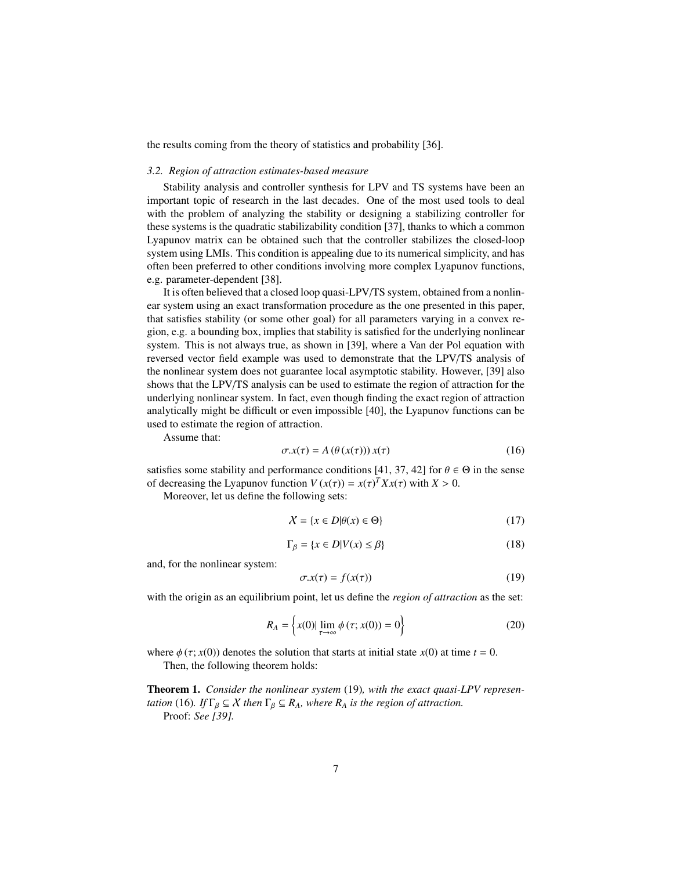the results coming from the theory of statistics and probability [36].

## *3.2. Region of attraction estimates-based measure*

Stability analysis and controller synthesis for LPV and TS systems have been an important topic of research in the last decades. One of the most used tools to deal with the problem of analyzing the stability or designing a stabilizing controller for these systems is the quadratic stabilizability condition [37], thanks to which a common Lyapunov matrix can be obtained such that the controller stabilizes the closed-loop system using LMIs. This condition is appealing due to its numerical simplicity, and has often been preferred to other conditions involving more complex Lyapunov functions, e.g. parameter-dependent [38].

It is often believed that a closed loop quasi-LPV/TS system, obtained from a nonlinear system using an exact transformation procedure as the one presented in this paper, that satisfies stability (or some other goal) for all parameters varying in a convex region, e.g. a bounding box, implies that stability is satisfied for the underlying nonlinear system. This is not always true, as shown in [39], where a Van der Pol equation with reversed vector field example was used to demonstrate that the LPV/TS analysis of the nonlinear system does not guarantee local asymptotic stability. However, [39] also shows that the LPV/TS analysis can be used to estimate the region of attraction for the underlying nonlinear system. In fact, even though finding the exact region of attraction analytically might be difficult or even impossible [40], the Lyapunov functions can be used to estimate the region of attraction.

Assume that:

$$
\sigma \cdot x(\tau) = A\left(\theta\left(x(\tau)\right)\right)x(\tau) \tag{16}
$$

satisfies some stability and performance conditions [41, 37, 42] for  $\theta \in \Theta$  in the sense of decreasing the Lyapunov function  $V(x(\tau)) = x(\tau)^T X x(\tau)$  with  $X > 0$ .<br>Moreover, let us define the following sets:

Moreover, let us define the following sets:

$$
X = \{x \in D | \theta(x) \in \Theta\}
$$
 (17)

$$
\Gamma_{\beta} = \{ x \in D | V(x) \le \beta \}
$$
\n(18)

and, for the nonlinear system:

$$
\sigma \cdot x(\tau) = f(x(\tau)) \tag{19}
$$

with the origin as an equilibrium point, let us define the *region of attraction* as the set:

$$
R_A = \left\{ x(0) | \lim_{\tau \to \infty} \phi(\tau; x(0)) = 0 \right\}
$$
 (20)

where  $\phi(\tau; x(0))$  denotes the solution that starts at initial state  $x(0)$  at time  $t = 0$ . Then, the following theorem holds:

Theorem 1. *Consider the nonlinear system* (19)*, with the exact quasi-LPV representation* (16)*. If*  $\Gamma_{\beta} \subseteq X$  *then*  $\Gamma_{\beta} \subseteq R_A$ *, where*  $R_A$  *is the region of attraction.* Proof: *See [39].*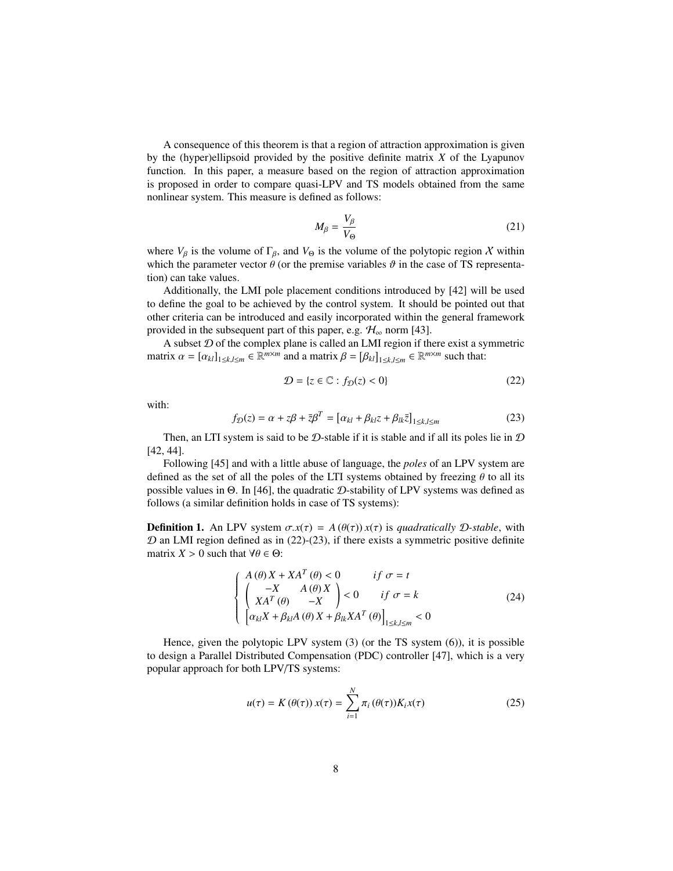A consequence of this theorem is that a region of attraction approximation is given by the (hyper)ellipsoid provided by the positive definite matrix *X* of the Lyapunov function. In this paper, a measure based on the region of attraction approximation is proposed in order to compare quasi-LPV and TS models obtained from the same nonlinear system. This measure is defined as follows:

$$
M_{\beta} = \frac{V_{\beta}}{V_{\Theta}}\tag{21}
$$

where  $V_\beta$  is the volume of  $\Gamma_\beta$ , and  $V_\Theta$  is the volume of the polytopic region X within which the parameter vector  $\theta$  (or the premise variables  $\vartheta$  in the case of TS representation) can take values.

Additionally, the LMI pole placement conditions introduced by [42] will be used to define the goal to be achieved by the control system. It should be pointed out that other criteria can be introduced and easily incorporated within the general framework provided in the subsequent part of this paper, e.g.  $\mathcal{H}_{\infty}$  norm [43].

A subset  $D$  of the complex plane is called an LMI region if there exist a symmetric matrix  $\alpha = [\alpha_{kl}]_{1 \le k,l \le m} \in \mathbb{R}^{m \times m}$  and a matrix  $\beta = [\beta_{kl}]_{1 \le k,l \le m} \in \mathbb{R}^{m \times m}$  such that:

$$
\mathcal{D} = \{z \in \mathbb{C} : f_{\mathcal{D}}(z) < 0\} \tag{22}
$$

with:

$$
f_{\mathcal{D}}(z) = \alpha + z\beta + \bar{z}\beta^{T} = \left[\alpha_{kl} + \beta_{kl}z + \beta_{lk}\bar{z}\right]_{1 \le k,l \le m}
$$
\n(23)

Then, an LTI system is said to be  $\mathcal D$ -stable if it is stable and if all its poles lie in  $\mathcal D$ [42, 44].

Following [45] and with a little abuse of language, the *poles* of an LPV system are defined as the set of all the poles of the LTI systems obtained by freezing  $\theta$  to all its possible values in Θ. In [46], the quadratic D-stability of LPV systems was defined as follows (a similar definition holds in case of TS systems):

**Definition 1.** An LPV system  $\sigma$ *x*( $\tau$ ) = *A*( $\theta(\tau)$ )  $x(\tau)$  is *quadratically D-stable*, with  $D$  an LMI region defined as in (22)-(23), if there exists a symmetric positive definite matrix  $X > 0$  such that  $\forall \theta \in \Theta$ :

$$
\begin{cases}\nA(\theta) X + X A^T(\theta) < 0 & \text{if } \sigma = t \\
\begin{pmatrix} -X & A(\theta) X \\
XA^T(\theta) & -X \end{pmatrix} < 0 & \text{if } \sigma = k \\
\begin{bmatrix} \alpha_{kl} X + \beta_{kl} A(\theta) X + \beta_{lk} X A^T(\theta) \end{bmatrix}_{1 \le k, l \le m} < 0\n\end{cases} \tag{24}
$$

Hence, given the polytopic LPV system (3) (or the TS system (6)), it is possible to design a Parallel Distributed Compensation (PDC) controller [47], which is a very popular approach for both LPV/TS systems:

$$
u(\tau) = K(\theta(\tau)) x(\tau) = \sum_{i=1}^{N} \pi_i(\theta(\tau)) K_i x(\tau)
$$
 (25)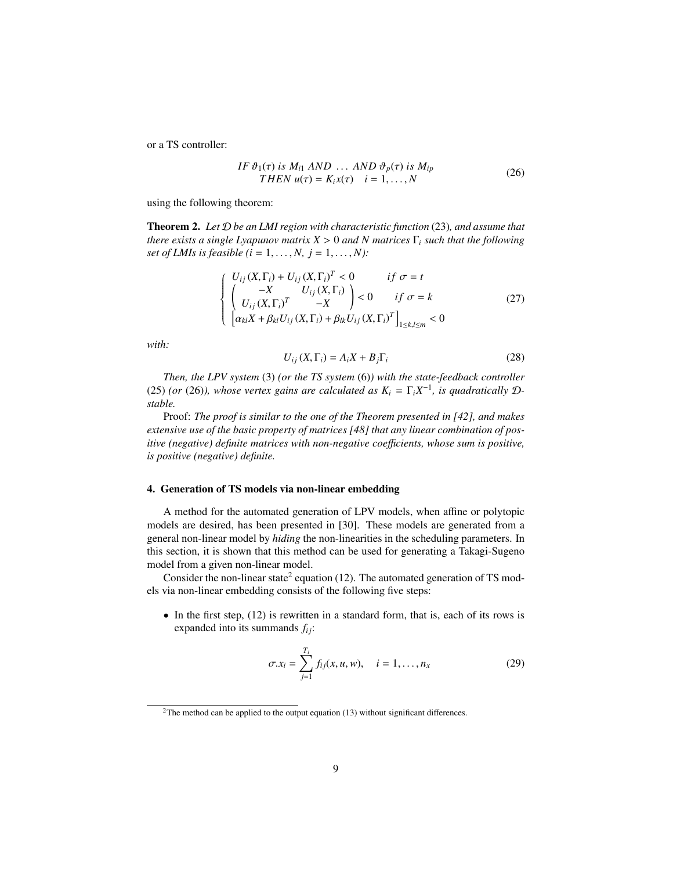or a TS controller:

$$
IF \vartheta_1(\tau) \text{ is } M_{i1} \text{ AND } \dots \text{ AND } \vartheta_p(\tau) \text{ is } M_{ip}
$$
  
\n
$$
THEN \ u(\tau) = K_i x(\tau) \quad i = 1, ..., N
$$
\n(26)

using the following theorem:

Theorem 2. *Let* D *be an LMI region with characteristic function* (23)*, and assume that there exists a single Lyapunov matrix X* <sup>&</sup>gt; <sup>0</sup> *and N matrices* <sup>Γ</sup>*<sup>i</sup> such that the following set of LMIs is feasible (i = 1, ..., N, j = 1, ..., N):* 

$$
\begin{cases}\nU_{ij}(X,\Gamma_i) + U_{ij}(X,\Gamma_i)^T < 0 & \text{if } \sigma = t \\
\begin{pmatrix}\n-X & U_{ij}(X,\Gamma_i) \\
U_{ij}(X,\Gamma_i)^T & -X\n\end{pmatrix} < 0 & \text{if } \sigma = k \\
\begin{bmatrix}\n\alpha_{kl}X + \beta_{kl}U_{ij}(X,\Gamma_i) + \beta_{lk}U_{ij}(X,\Gamma_i)^T\n\end{bmatrix}_{1 \le k,l \le m} < 0\n\end{cases}\n\tag{27}
$$

*with:*

$$
U_{ij}(X,\Gamma_i) = A_i X + B_j \Gamma_i
$$
 (28)

*Then, the LPV system* (3) *(or the TS system* (6)*) with the state-feedback controller* (25) *(or* (26)*), whose vertex gains are calculated as*  $K_i = \Gamma_i X^{-1}$ *, is quadratically Dstable.*

Proof: *The proof is similar to the one of the Theorem presented in [42], and makes extensive use of the basic property of matrices [48] that any linear combination of positive (negative) definite matrices with non-negative coe*ffi*cients, whose sum is positive, is positive (negative) definite.*

# 4. Generation of TS models via non-linear embedding

A method for the automated generation of LPV models, when affine or polytopic models are desired, has been presented in [30]. These models are generated from a general non-linear model by *hiding* the non-linearities in the scheduling parameters. In this section, it is shown that this method can be used for generating a Takagi-Sugeno model from a given non-linear model.

Consider the non-linear state<sup>2</sup> equation (12). The automated generation of TS models via non-linear embedding consists of the following five steps:

 $\bullet$  In the first step, (12) is rewritten in a standard form, that is, each of its rows is expanded into its summands  $f_{ij}$ :

$$
\sigma.x_i = \sum_{j=1}^{T_i} f_{ij}(x, u, w), \quad i = 1, \dots, n_x
$$
 (29)

 $2$ The method can be applied to the output equation (13) without significant differences.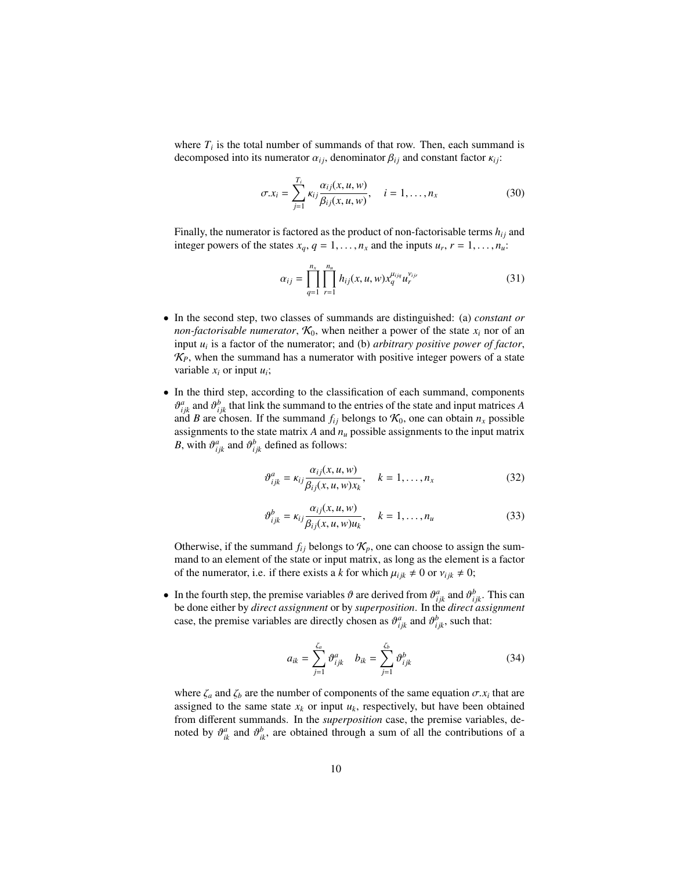where  $T_i$  is the total number of summands of that row. Then, each summand is decomposed into its numerator  $\alpha_{ij}$ , denominator  $\beta_{ij}$  and constant factor  $\kappa_{ij}$ :

$$
\sigma.x_i = \sum_{j=1}^{T_i} \kappa_{ij} \frac{\alpha_{ij}(x, u, w)}{\beta_{ij}(x, u, w)}, \quad i = 1, ..., n_x
$$
 (30)

Finally, the numerator is factored as the product of non-factorisable terms  $h_{ij}$  and integer powers of the states  $x_q$ ,  $q = 1, ..., n_x$  and the inputs  $u_r$ ,  $r = 1, ..., n_u$ :

$$
\alpha_{ij} = \prod_{q=1}^{n_x} \prod_{r=1}^{n_u} h_{ij}(x, u, w) x_q^{\mu_{ijq}} u_r^{\nu_{ijr}}
$$
(31)

- In the second step, two classes of summands are distinguished: (a) *constant or non-factorisable numerator*,  $K_0$ , when neither a power of the state  $x_i$  nor of an input *u<sup>i</sup>* is a factor of the numerator; and (b) *arbitrary positive power of factor*,  $K_P$ , when the summand has a numerator with positive integer powers of a state variable *x<sup>i</sup>* or input *u<sup>i</sup>* ;
- In the third step, according to the classification of each summand, components and *B* are chosen. If the summand  $f_{ij}$  belongs to  $\mathcal{K}_0$ , one can obtain  $n_x$  possible *a*<sub>i</sub> and  $\vartheta_{ijk}^b$  that link the summand to the entries of the state and input matrices *A*  $\eta$  *R* are chosen. If the summand *f*, belongs to  $K_0$ , one can obtain *n*, possible assignments to the state matrix  $A$  and  $n_u$  possible assignments to the input matrix *B*, with  $\vartheta^a_{ijk}$  and  $\vartheta^b_{ijk}$  defined as follows:

$$
\vartheta_{ijk}^a = \kappa_{ij} \frac{\alpha_{ij}(x, u, w)}{\beta_{ij}(x, u, w)x_k}, \quad k = 1, \dots, n_x
$$
\n(32)

$$
\vartheta_{ijk}^b = \kappa_{ij} \frac{\alpha_{ij}(x, u, w)}{\beta_{ij}(x, u, w) u_k}, \quad k = 1, \dots, n_u
$$
\n(33)

Otherwise, if the summand  $f_{ij}$  belongs to  $\mathcal{K}_p$ , one can choose to assign the summand to an element of the state or input matrix, as long as the element is a factor of the numerator, i.e. if there exists a *k* for which  $\mu_{ijk} \neq 0$  or  $\nu_{ijk} \neq 0$ ;

• In the fourth step, the premise variables  $\vartheta$  are derived from  $\vartheta_{ijk}^a$  and  $\vartheta_{ijk}^b$ . This can be done either by *direct assignment* or by *superposition*. In the *direct assignment* be done either by *direct assignment* or by *superposition*. In the *direct assignment* case, the premise variables are directly chosen as  $\theta_{ijk}^a$  and  $\theta_{ijk}^b$ , such that:

$$
a_{ik} = \sum_{j=1}^{\zeta_a} \vartheta^a_{ijk} \quad b_{ik} = \sum_{j=1}^{\zeta_b} \vartheta^b_{ijk} \tag{34}
$$

where  $\zeta_a$  and  $\zeta_b$  are the number of components of the same equation  $\sigma.x_i$  that are assigned to the same state  $x_i$  or input  $u_i$ , respectively, but have been obtained assigned to the same state  $x_k$  or input  $u_k$ , respectively, but have been obtained from different summands. In the *superposition* case, the premise variables, denoted by  $\theta_{ik}^a$  and  $\theta_{ik}^b$ , are obtained through a sum of all the contributions of a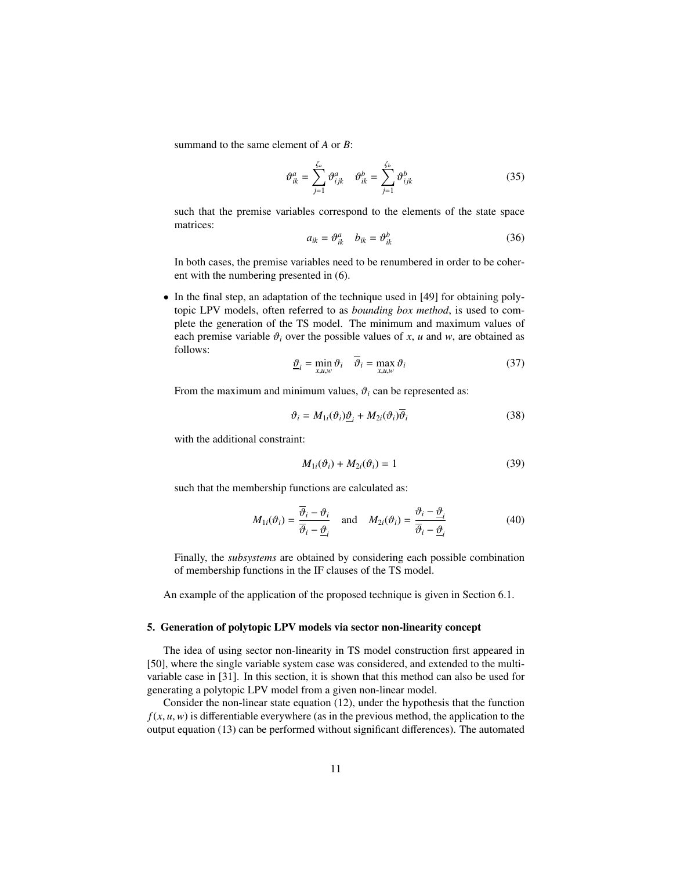summand to the same element of *A* or *B*:

$$
\vartheta_{ik}^a = \sum_{j=1}^{\zeta_a} \vartheta_{ijk}^a \quad \vartheta_{ik}^b = \sum_{j=1}^{\zeta_b} \vartheta_{ijk}^b \tag{35}
$$

such that the premise variables correspond to the elements of the state space matrices:

$$
a_{ik} = \vartheta_{ik}^a \quad b_{ik} = \vartheta_{ik}^b \tag{36}
$$

In both cases, the premise variables need to be renumbered in order to be coherent with the numbering presented in (6).

• In the final step, an adaptation of the technique used in [49] for obtaining polytopic LPV models, often referred to as *bounding box method*, is used to complete the generation of the TS model. The minimum and maximum values of each premise variable  $\vartheta_i$  over the possible values of *x*, *u* and *w*, are obtained as follows:

$$
\underline{\vartheta}_{i} = \min_{x, u, w} \vartheta_{i} \quad \overline{\vartheta}_{i} = \max_{x, u, w} \vartheta_{i}
$$
 (37)

From the maximum and minimum values,  $\vartheta_i$  can be represented as:

$$
\vartheta_i = M_{1i}(\vartheta_i) \underline{\vartheta}_i + M_{2i}(\vartheta_i) \vartheta_i \tag{38}
$$

with the additional constraint:

$$
M_{1i}(\vartheta_i) + M_{2i}(\vartheta_i) = 1 \tag{39}
$$

such that the membership functions are calculated as:

$$
M_{1i}(\vartheta_i) = \frac{\overline{\vartheta}_i - \vartheta_i}{\overline{\vartheta}_i - \underline{\vartheta}_i} \quad \text{and} \quad M_{2i}(\vartheta_i) = \frac{\vartheta_i - \underline{\vartheta}_i}{\overline{\vartheta}_i - \underline{\vartheta}_i}
$$
(40)

Finally, the *subsystems* are obtained by considering each possible combination of membership functions in the IF clauses of the TS model.

An example of the application of the proposed technique is given in Section 6.1.

#### 5. Generation of polytopic LPV models via sector non-linearity concept

The idea of using sector non-linearity in TS model construction first appeared in [50], where the single variable system case was considered, and extended to the multivariable case in [31]. In this section, it is shown that this method can also be used for generating a polytopic LPV model from a given non-linear model.

Consider the non-linear state equation (12), under the hypothesis that the function  $f(x, u, w)$  is differentiable everywhere (as in the previous method, the application to the output equation (13) can be performed without significant differences). The automated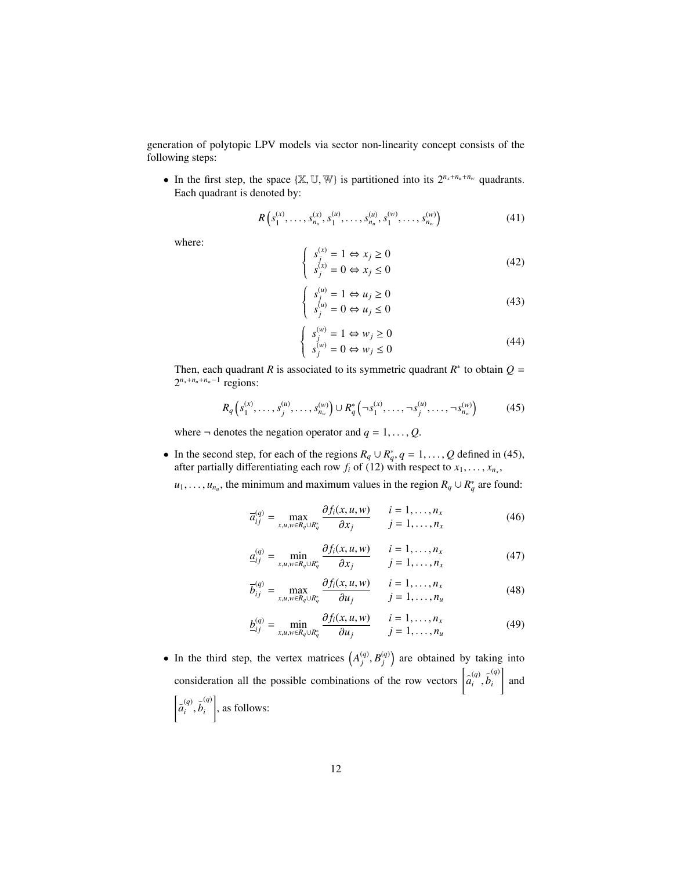generation of polytopic LPV models via sector non-linearity concept consists of the following steps:

• In the first step, the space  $\{X, U, W\}$  is partitioned into its  $2^{n_x + n_u + n_w}$  quadrants. Each quadrant is denoted by:

$$
R\left(s_1^{(x)},\ldots,s_{n_x}^{(x)},s_1^{(u)},\ldots,s_{n_u}^{(u)},s_1^{(w)},\ldots,s_{n_w}^{(w)}\right)
$$
\n(41)

where:

$$
\begin{cases}\ns_j^{(x)} = 1 \Leftrightarrow x_j \ge 0 \\
s_j^{(x)} = 0 \Leftrightarrow x_j \le 0\n\end{cases} \tag{42}
$$

$$
\begin{cases}\ns_j^{(u)} = 1 \Leftrightarrow u_j \ge 0 \\
s_j^{(u)} = 0 \Leftrightarrow u_j \le 0\n\end{cases} \tag{43}
$$

$$
\begin{cases}\ns_j^{(w)} = 1 \Leftrightarrow w_j \ge 0 \\
s_j^{(w)} = 0 \Leftrightarrow w_j \le 0\n\end{cases} \tag{44}
$$

Then, each quadrant *R* is associated to its symmetric quadrant  $R^*$  to obtain  $Q =$  $2^{n_x + n_u + n_w - 1}$  regions:

$$
R_q(s_1^{(x)},\ldots,s_j^{(u)},\ldots,s_{n_w}^{(w)}) \cup R_q^*(\neg s_1^{(x)},\ldots,\neg s_j^{(u)},\ldots,\neg s_{n_w}^{(w)})
$$
(45)

where  $\neg$  denotes the negation operator and  $q = 1, \ldots, Q$ .

• In the second step, for each of the regions  $R_q \cup R_q^*$ ,  $q = 1, \ldots, Q$  defined in (45), after partially differentiating each row  $f$ , of (12) with respect to  $r$ . after partially differentiating each row  $f_i$  of (12) with respect to  $x_1, \ldots, x_n$ ,

 $u_1, \ldots, u_{n_u}$ , the minimum and maximum values in the region  $R_q \cup R_q^*$  are found:

$$
\overline{a}_{ij}^{(q)} = \max_{x, u, w \in R_q \cup R_q^*} \frac{\partial f_i(x, u, w)}{\partial x_j} \qquad i = 1, \dots, n_x
$$
\n
$$
j = 1, \dots, n_x
$$
\n(46)

$$
\underline{a}_{ij}^{(q)} = \min_{x, u, w \in R_q \cup R_q^*} \frac{\partial f_i(x, u, w)}{\partial x_j} \qquad i = 1, \dots, n_x
$$
\n
$$
(47)
$$

$$
\overline{b}_{ij}^{(q)} = \max_{x, u, w \in R_q \cup R_q^*} \frac{\partial f_i(x, u, w)}{\partial u_j} \qquad i = 1, \dots, n_x
$$
\n(48)

$$
\underline{b}_{ij}^{(q)} = \min_{x,u,w \in R_q \cup R_q^*} \frac{\partial f_i(x,u,w)}{\partial u_j} \qquad i = 1,\ldots,n_x
$$
\n
$$
j = 1,\ldots,n_u
$$
\n(49)

• In the third step, the vertex matrices  $(A_i^{(q)})$  $\binom{q}{j}$ ,  $B_j^{(q)}$  $\binom{q}{j}$  are obtained by taking into consideration all the possible combinations of the row vectors  $\begin{bmatrix} \hat{a}_i^{(q)} \end{bmatrix}$  $\hat{b}_i^{(q)}$ ,  $\hat{b}_i^{(q)}$ *i*  $\Big]$  and  $\begin{bmatrix} a_i \\ a_i \end{bmatrix}$  $\sum_{i}^{(q)}$ ,  $\sum_{i}^{(q)}$ *i*  $\int$ , as follows: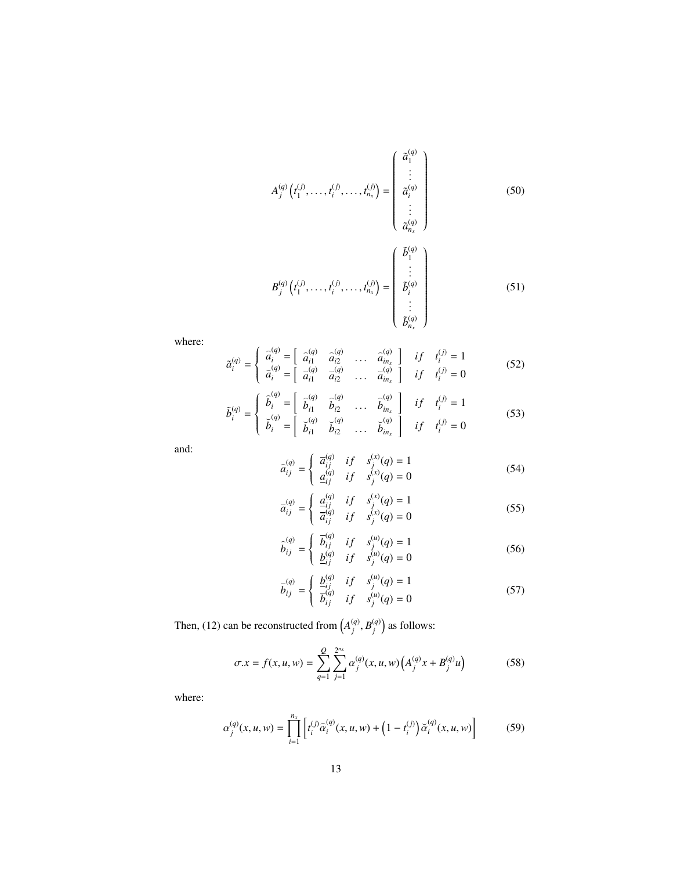$$
A_j^{(q)}(t_1^{(j)}, \dots, t_i^{(j)}, \dots, t_{n_x}^{(j)}) = \begin{pmatrix} \tilde{a}_1^{(q)} \\ \vdots \\ \tilde{a}_i^{(q)} \\ \vdots \\ \tilde{a}_{n_x}^{(q)} \end{pmatrix}
$$
(50)  

$$
B_j^{(q)}(t_1^{(j)}, \dots, t_i^{(j)}, \dots, t_{n_x}^{(j)}) = \begin{pmatrix} \tilde{b}_1^{(q)} \\ \vdots \\ \tilde{b}_i^{(q)} \\ \vdots \\ \tilde{b}_{n_x}^{(q)} \end{pmatrix}
$$
(51)

where:

$$
\tilde{a}_{i}^{(q)} = \begin{cases}\n\tilde{a}_{i}^{(q)} = \begin{bmatrix}\n\tilde{a}_{i1}^{(q)} & \tilde{a}_{i2}^{(q)} & \dots & \tilde{a}_{in_{x}}^{(q)}\n\end{bmatrix} & if \quad t_{i}^{(j)} = 1 \\
\tilde{a}_{i}^{(q)} = \begin{bmatrix}\n\tilde{a}_{i1} & \tilde{a}_{i2}^{(q)} & \dots & \tilde{a}_{in_{x}}^{(q)}\n\end{bmatrix} & if \quad t_{i}^{(j)} = 0\n\end{cases}
$$
\n(52)\n
$$
\begin{pmatrix}\n\tilde{a}^{(q)} = \begin{bmatrix}\n\tilde{a}_{i1} & \tilde{a}_{i2}^{(q)} & \dots & \tilde{a}_{in_{x}}^{(q)}\n\end{bmatrix} & if \quad t_{i}^{(j)} = 0\n\end{cases}
$$

$$
\tilde{b}_{i}^{(q)} = \begin{cases}\n\tilde{b}_{i}^{(q)} = \begin{bmatrix}\n\tilde{b}_{i1}^{(q)} & \tilde{b}_{i2}^{(q)} & \dots & \tilde{b}_{in_{x}}^{(q)}\n\end{bmatrix} & if \quad t_{i}^{(j)} = 1 \\
\tilde{b}_{i}^{(q)} = \begin{bmatrix}\n\tilde{b}_{i1}^{(q)} & \tilde{b}_{i2}^{(q)} & \dots & \tilde{b}_{in_{x}}^{(q)}\n\end{bmatrix} & if \quad t_{i}^{(j)} = 0\n\end{cases}
$$
\n(53)

and:

$$
\hat{a}_{ij}^{(q)} = \begin{cases}\n\overline{a}_{ij}^{(q)} & if \quad s_j^{(x)}(q) = 1 \\
\underline{a}_{ij}^{(q)} & if \quad s_j^{(x)}(q) = 0\n\end{cases}
$$
\n(54)

$$
\vec{a}_{ij}^{(q)} = \begin{cases}\n\frac{a_{ij}^{(q)}}{a_{ij}^{(q)}} & if \quad s_j^{(x)}(q) = 1 \\
\overline{a}_{ij}^{(q)} & if \quad s_j^{(x)}(q) = 0\n\end{cases}
$$
\n(55)

$$
\hat{b}_{ij}^{(q)} = \begin{cases}\n\overline{b}_{ij}^{(q)} & if \quad s_j^{(u)}(q) = 1 \\
\underline{b}_{ij}^{(q)} & if \quad s_j^{(u)}(q) = 0\n\end{cases}
$$
\n(56)

$$
\tilde{b}_{ij}^{(q)} = \begin{cases}\n\frac{b_{ij}^{(q)}}{b_{ij}^{(q)}} & if \quad s_j^{(u)}(q) = 1 \\
\overline{b}_{ij}^{(q)} & if \quad s_j^{(u)}(q) = 0\n\end{cases}
$$
\n(57)

Then, (12) can be reconstructed from  $(A_i^{(q)})$  $\binom{q}{j}$ ,  $B_j^{(q)}$  $j \choose j$  as follows:

$$
\sigma.x = f(x, u, w) = \sum_{q=1}^{Q} \sum_{j=1}^{2^{n_x}} \alpha_j^{(q)}(x, u, w) \left( A_j^{(q)} x + B_j^{(q)} u \right)
$$
(58)

where:

$$
\alpha_j^{(q)}(x, u, w) = \prod_{i=1}^{n_x} \left[ t_i^{(j)} \hat{\alpha}_i^{(q)}(x, u, w) + \left( 1 - t_i^{(j)} \right) \tilde{\alpha}_i^{(q)}(x, u, w) \right]
$$
(59)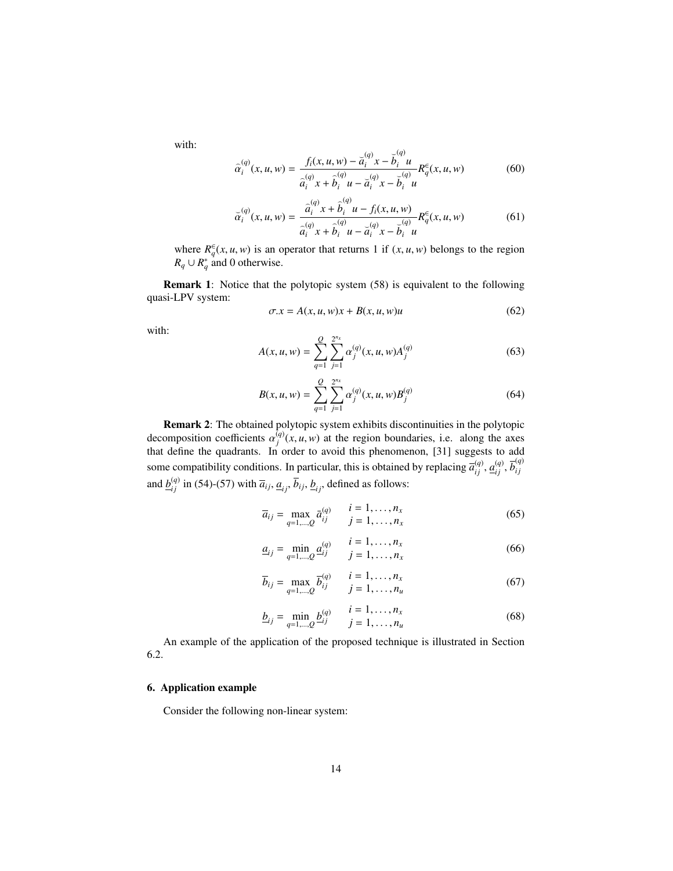with:

$$
\hat{\alpha}_i^{(q)}(x, u, w) = \frac{f_i(x, u, w) - \tilde{a}_i^{(q)} x - \tilde{b}_i^{(q)}}{\hat{a}_i^{(q)} x + \hat{b}_i^{(q)} u - \tilde{a}_i^{(q)} x - \tilde{b}_i^{(q)} u} R_q^{\epsilon}(x, u, w)
$$
(60)

$$
\bar{\alpha}_{i}^{(q)}(x, u, w) = \frac{\bar{a}_{i}^{(q)} x + \bar{b}_{i}^{(q)} u - f_{i}(x, u, w)}{\bar{a}_{i}^{(q)} x + \bar{b}_{i}^{(q)} u - \bar{a}_{i}^{(q)} x - \bar{b}_{i}^{(q)} u} R_{q}^{\in}(x, u, w)
$$
(61)

where  $R^{\epsilon}(x, u, w)$  is an operator that returns 1 if  $(x, u, w)$  belongs to the region  $R \perp R^*$  and 0 otherwise  $R_q \cup R_q^*$  and 0 otherwise.

Remark 1: Notice that the polytopic system (58) is equivalent to the following quasi-LPV system:

$$
\sigma \cdot x = A(x, u, w)x + B(x, u, w)u \tag{62}
$$

with:

$$
A(x, u, w) = \sum_{q=1}^{Q} \sum_{j=1}^{2^{n_x}} \alpha_j^{(q)}(x, u, w) A_j^{(q)}
$$
(63)

$$
B(x, u, w) = \sum_{q=1}^{Q} \sum_{j=1}^{2^{n_x}} \alpha_j^{(q)}(x, u, w) B_j^{(q)}
$$
(64)

Remark 2: The obtained polytopic system exhibits discontinuities in the polytopic decomposition coefficients  $\alpha_j^{(q)}$ <br>that define the quadrants. In g decomposition coefficients  $\alpha_j^{(q)}(x, u, w)$  at the region boundaries, i.e. along the axes that define the quadrants. In order to avoid this phenomenon, [31] suggests to add some compatibility conditions. In particular, this is obtained by replacing  $\overline{a}_{ij}^{(q)}$ ,  $\overline{a}_{ij}^{(q)}$ ,  $\overline{b}_{ij}^{(q)}$ *i j* and  $\underline{b}_{ij}^{(q)}$  in (54)-(57) with  $\overline{a}_{ij}$ ,  $\underline{a}_{ij}$ ,  $\overline{b}_{ij}$ ,  $\underline{b}_{ij}$ , defined as follows:

$$
\overline{a}_{ij} = \max_{q=1,...,Q} \overline{a}_{ij}^{(q)} \qquad \begin{array}{l} i = 1, \dots, n_x \\ j = 1, \dots, n_x \end{array} \tag{65}
$$

$$
\underline{a}_{ij} = \min_{q=1,\dots,Q} \underline{a}_{ij}^{(q)} \qquad \begin{array}{l} i = 1,\dots,n_x \\ j = 1,\dots,n_x \end{array} \tag{66}
$$

$$
\overline{b}_{ij} = \max_{q=1,...,Q} \overline{b}_{ij}^{(q)} \qquad \begin{array}{c} i = 1,...,n_x \\ j = 1,...,n_u \end{array} \tag{67}
$$

$$
\underline{b}_{ij} = \min_{q=1,\dots,Q} \underline{b}_{ij}^{(q)} \qquad \begin{array}{l} i = 1,\dots,n_x \\ j = 1,\dots,n_u \end{array} \tag{68}
$$

An example of the application of the proposed technique is illustrated in Section 6.2.

# 6. Application example

Consider the following non-linear system: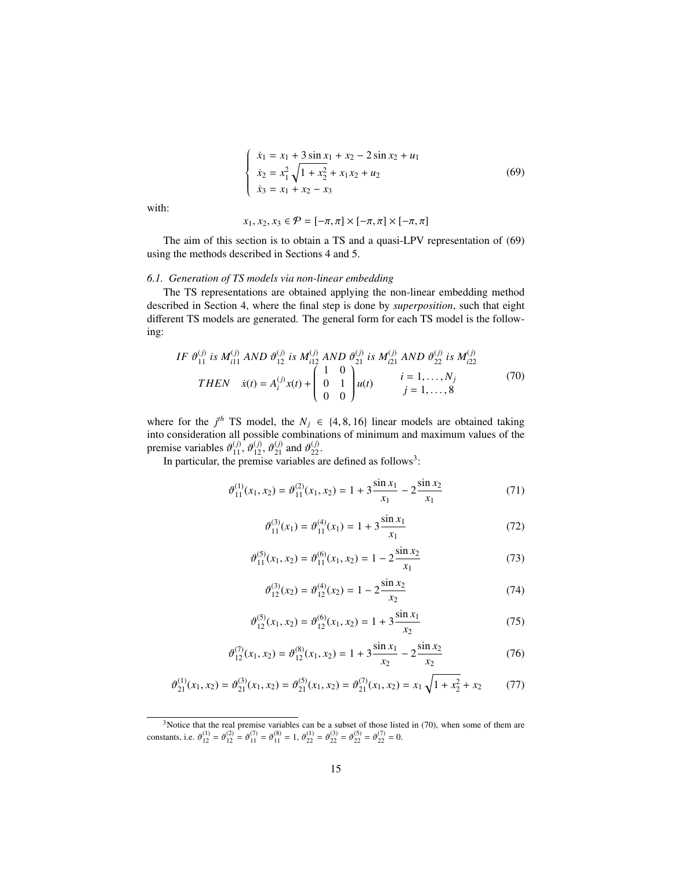$$
\begin{cases}\n\dot{x}_1 = x_1 + 3\sin x_1 + x_2 - 2\sin x_2 + u_1 \\
\dot{x}_2 = x_1^2 \sqrt{1 + x_2^2} + x_1 x_2 + u_2 \\
\dot{x}_3 = x_1 + x_2 - x_3\n\end{cases}
$$
\n(69)

with:

$$
x_1, x_2, x_3 \in \mathcal{P} = [-\pi, \pi] \times [-\pi, \pi] \times [-\pi, \pi]
$$

The aim of this section is to obtain a TS and a quasi-LPV representation of (69) using the methods described in Sections 4 and 5.

## *6.1. Generation of TS models via non-linear embedding*

The TS representations are obtained applying the non-linear embedding method described in Section 4, where the final step is done by *superposition*, such that eight different TS models are generated. The general form for each TS model is the following:

IF 
$$
\vartheta_{11}^{(j)}
$$
 is  $M_{i11}^{(j)}$  AND  $\vartheta_{12}^{(j)}$  is  $M_{i12}^{(j)}$  AND  $\vartheta_{21}^{(j)}$  is  $M_{i21}^{(j)}$  AND  $\vartheta_{22}^{(j)}$  is  $M_{i22}^{(j)}$   
THEN  $\dot{x}(t) = A_i^{(j)}x(t) + \begin{pmatrix} 1 & 0 \\ 0 & 1 \\ 0 & 0 \end{pmatrix} u(t)$   $i = 1,..., N_j$  (70)

where for the *j*<sup>th</sup> TS model, the  $N_j \in \{4, 8, 16\}$  linear models are obtained taking into consideration all possible combinations of minimum and maximum values of the premise variables  $\vartheta_{11}^{(j)}$ ,  $\vartheta_{12}^{(j)}$ ,  $\vartheta_{21}^{(j)}$  and  $\vartheta_{22}^{(j)}$ .<br>In particular, the premise variables a

In particular, the premise variables are defined as follows<sup>3</sup>:

$$
\vartheta_{11}^{(1)}(x_1, x_2) = \vartheta_{11}^{(2)}(x_1, x_2) = 1 + 3\frac{\sin x_1}{x_1} - 2\frac{\sin x_2}{x_1}
$$
(71)

$$
\vartheta_{11}^{(3)}(x_1) = \vartheta_{11}^{(4)}(x_1) = 1 + 3\frac{\sin x_1}{x_1}
$$
\n(72)

$$
\vartheta_{11}^{(5)}(x_1, x_2) = \vartheta_{11}^{(6)}(x_1, x_2) = 1 - 2 \frac{\sin x_2}{x_1}
$$
\n(73)

$$
\vartheta_{12}^{(3)}(x_2) = \vartheta_{12}^{(4)}(x_2) = 1 - 2\frac{\sin x_2}{x_2}
$$
\n(74)

$$
\vartheta_{12}^{(5)}(x_1, x_2) = \vartheta_{12}^{(6)}(x_1, x_2) = 1 + 3 \frac{\sin x_1}{x_2} \tag{75}
$$

$$
\vartheta_{12}^{(7)}(x_1, x_2) = \vartheta_{12}^{(8)}(x_1, x_2) = 1 + 3 \frac{\sin x_1}{x_2} - 2 \frac{\sin x_2}{x_2}
$$
(76)

$$
\vartheta_{21}^{(1)}(x_1, x_2) = \vartheta_{21}^{(3)}(x_1, x_2) = \vartheta_{21}^{(5)}(x_1, x_2) = \vartheta_{21}^{(7)}(x_1, x_2) = x_1 \sqrt{1 + x_2^2} + x_2 \tag{77}
$$

 $3$ Notice that the real premise variables can be a subset of those listed in (70), when some of them are constants, i.e.  $\vartheta_{12}^{(1)} = \vartheta_{12}^{(2)} = \vartheta_{11}^{(7)} = \vartheta_{11}^{(8)} = 1$ ,  $\vartheta_{22}^{(1)} = \vartheta_{22}^{(3)} = \vartheta_{22}^{(5)} = \vartheta_{22}^{(7)} = 0$ .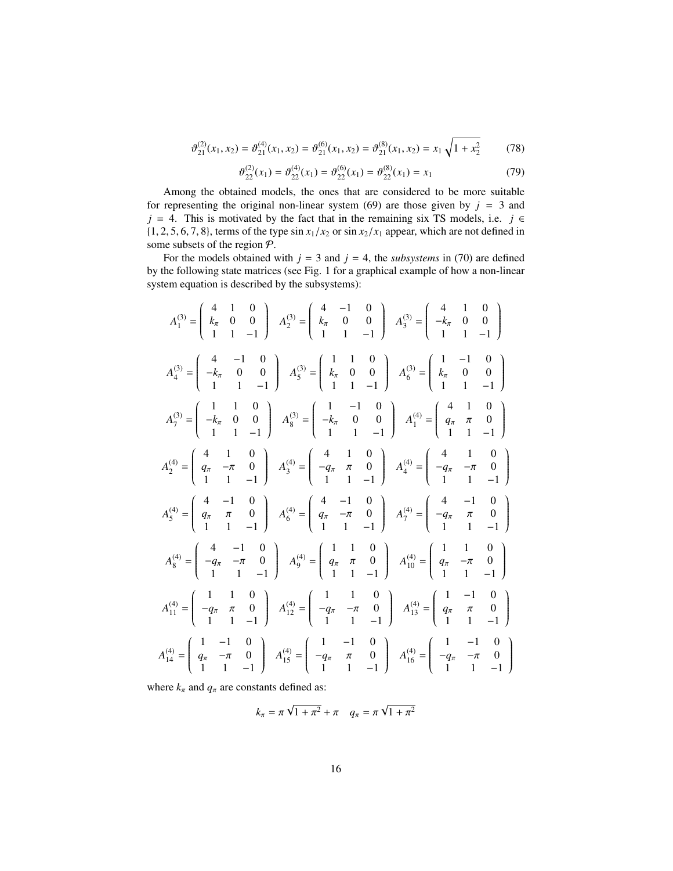$$
\vartheta_{21}^{(2)}(x_1, x_2) = \vartheta_{21}^{(4)}(x_1, x_2) = \vartheta_{21}^{(6)}(x_1, x_2) = \vartheta_{21}^{(8)}(x_1, x_2) = x_1 \sqrt{1 + x_2^2}
$$
(78)

$$
\vartheta_{22}^{(2)}(x_1) = \vartheta_{22}^{(4)}(x_1) = \vartheta_{22}^{(6)}(x_1) = \vartheta_{22}^{(8)}(x_1) = x_1 \tag{79}
$$

Among the obtained models, the ones that are considered to be more suitable for representing the original non-linear system (69) are those given by  $j = 3$  and *j* = 4. This is motivated by the fact that in the remaining six TS models, i.e. *j* ∈  $\{1, 2, 5, 6, 7, 8\}$ , terms of the type  $\sin x_1/x_2$  or  $\sin x_2/x_1$  appear, which are not defined in some subsets of the region P.

For the models obtained with  $j = 3$  and  $j = 4$ , the *subsystems* in (70) are defined by the following state matrices (see Fig. 1 for a graphical example of how a non-linear system equation is described by the subsystems):

$$
A_1^{(3)} = \begin{pmatrix} 4 & 1 & 0 \\ k_{\pi} & 0 & 0 \\ 1 & 1 & -1 \end{pmatrix} A_2^{(3)} = \begin{pmatrix} 4 & -1 & 0 \\ k_{\pi} & 0 & 0 \\ 1 & 1 & -1 \end{pmatrix} A_3^{(3)} = \begin{pmatrix} 4 & 1 & 0 \\ -k_{\pi} & 0 & 0 \\ 1 & 1 & -1 \end{pmatrix}
$$
  
\n
$$
A_4^{(3)} = \begin{pmatrix} 4 & -1 & 0 \\ -k_{\pi} & 0 & 0 \\ 1 & 1 & -1 \end{pmatrix} A_5^{(3)} = \begin{pmatrix} 1 & 1 & 0 \\ k_{\pi} & 0 & 0 \\ 1 & 1 & -1 \end{pmatrix} A_6^{(3)} = \begin{pmatrix} 1 & -1 & 0 \\ k_{\pi} & 0 & 0 \\ 1 & 1 & -1 \end{pmatrix}
$$
  
\n
$$
A_7^{(3)} = \begin{pmatrix} 1 & 1 & 0 \\ -k_{\pi} & 0 & 0 \\ 1 & 1 & -1 \end{pmatrix} A_8^{(3)} = \begin{pmatrix} 1 & -1 & 0 \\ -k_{\pi} & 0 & 0 \\ 1 & 1 & -1 \end{pmatrix} A_1^{(4)} = \begin{pmatrix} 4 & 1 & 0 \\ q_{\pi} & \pi & 0 \\ 1 & 1 & -1 \end{pmatrix}
$$
  
\n
$$
A_2^{(4)} = \begin{pmatrix} 4 & 1 & 0 \\ q_{\pi} & -\pi & 0 \\ 1 & 1 & -1 \end{pmatrix} A_3^{(4)} = \begin{pmatrix} 4 & 1 & 0 \\ -q_{\pi} & \pi & 0 \\ 1 & 1 & -1 \end{pmatrix} A_4^{(4)} = \begin{pmatrix} 4 & 1 & 0 \\ -q_{\pi} & -\pi & 0 \\ 1 & 1 & -1 \end{pmatrix}
$$
  
\n
$$
A_8^{(4)} = \begin{pmatrix} 4 & -1 & 0 \\ q_{\pi} & \pi & 0 \\ 1 & 1 & -1 \end{pmatrix} A_9^{(4)} = \begin{pmatrix} 4 & -1 & 0 \\ q_{\pi} & -\pi & 0 \\ 1 & 1 & -1 \end{pmatrix} A_9^{(4)} = \begin{pmatrix} 1 & 1 &
$$

where  $k_{\pi}$  and  $q_{\pi}$  are constants defined as:

$$
k_{\pi} = \pi \sqrt{1 + \pi^2} + \pi \quad q_{\pi} = \pi \sqrt{1 + \pi^2}
$$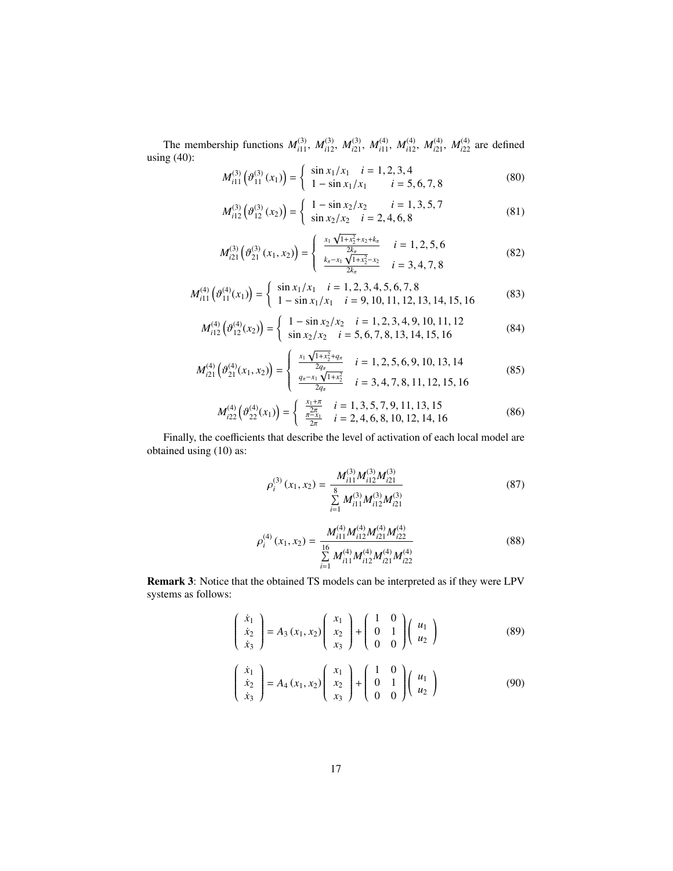The membership functions  $M_{i11}^{(3)}$ ,  $M_{i12}^{(3)}$ ,  $M_{i21}^{(4)}$ ,  $M_{i12}^{(4)}$ ,  $M_{i21}^{(4)}$ ,  $M_{i22}^{(4)}$  are defined using (40):

$$
M_{i11}^{(3)}(\vartheta_{11}^{(3)}(x_1)) = \begin{cases} \sin x_1/x_1 & i = 1, 2, 3, 4\\ 1 - \sin x_1/x_1 & i = 5, 6, 7, 8 \end{cases}
$$
(80)

$$
M_{i12}^{(3)}(\vartheta_{12}^{(3)}(x_2)) = \begin{cases} 1 - \sin x_2/x_2 & i = 1, 3, 5, 7 \\ \sin x_2/x_2 & i = 2, 4, 6, 8 \end{cases}
$$
(81)

$$
M_{i21}^{(3)}\left(\vartheta_{21}^{(3)}\left(x_1,x_2\right)\right) = \begin{cases} \frac{x_1\sqrt{1+x_2^2}+x_2+k_\pi}{2k_\pi} & i=1,2,5,6\\ \frac{k_\pi-x_1\sqrt{1+x_2^2}-x_2}{2k_\pi} & i=3,4,7,8 \end{cases} \tag{82}
$$

$$
M_{i11}^{(4)}(\vartheta_{11}^{(4)}(x_1)) = \begin{cases} \sin x_1/x_1 & i = 1, 2, 3, 4, 5, 6, 7, 8 \\ 1 - \sin x_1/x_1 & i = 9, 10, 11, 12, 13, 14, 15, 16 \end{cases}
$$
(83)

$$
M_{i12}^{(4)}(\vartheta_{12}^{(4)}(x_2)) = \begin{cases} 1 - \sin x_2/x_2 & i = 1, 2, 3, 4, 9, 10, 11, 12 \\ \sin x_2/x_2 & i = 5, 6, 7, 8, 13, 14, 15, 16 \end{cases}
$$
(84)

$$
M_{i21}^{(4)}\left(\vartheta_{21}^{(4)}(x_1,x_2)\right) = \begin{cases} \frac{x_1\sqrt{1+x_2^2}+q_\pi}{2q_\pi} & i = 1,2,5,6,9,10,13,14\\ \frac{q_\pi - x_1\sqrt{1+x_2^2}}{2q_\pi} & i = 3,4,7,8,11,12,15,16 \end{cases} \tag{85}
$$

$$
M_{i22}^{(4)}\left(\vartheta_{22}^{(4)}(x_1)\right) = \begin{cases} \frac{x_1 + \pi}{2\pi} & i = 1, 3, 5, 7, 9, 11, 13, 15\\ \frac{\pi - x_1}{2\pi} & i = 2, 4, 6, 8, 10, 12, 14, 16 \end{cases} \tag{86}
$$

Finally, the coefficients that describe the level of activation of each local model are obtained using (10) as:

$$
\rho_i^{(3)}(x_1, x_2) = \frac{M_{i11}^{(3)} M_{i12}^{(3)} M_{i21}^{(3)}}{\sum\limits_{i=1}^8 M_{i11}^{(3)} M_{i12}^{(3)} M_{i21}^{(3)}}\tag{87}
$$

$$
\rho_i^{(4)}(x_1, x_2) = \frac{M_{i11}^{(4)} M_{i12}^{(4)} M_{i21}^{(4)} M_{i22}^{(4)}}{\sum\limits_{i=1}^{16} M_{i11}^{(4)} M_{i12}^{(4)} M_{i21}^{(4)} M_{i22}^{(4)}}\tag{88}
$$

Remark 3: Notice that the obtained TS models can be interpreted as if they were LPV systems as follows:

$$
\begin{pmatrix}\n\dot{x}_1 \\
\dot{x}_2 \\
\dot{x}_3\n\end{pmatrix} = A_3(x_1, x_2) \begin{pmatrix}\nx_1 \\
x_2 \\
x_3\n\end{pmatrix} + \begin{pmatrix}\n1 & 0 \\
0 & 1 \\
0 & 0\n\end{pmatrix} \begin{pmatrix}\nu_1 \\
u_2\n\end{pmatrix}
$$
\n(89)

$$
\begin{pmatrix}\n\dot{x}_1 \\
\dot{x}_2 \\
\dot{x}_3\n\end{pmatrix} = A_4(x_1, x_2) \begin{pmatrix}\nx_1 \\
x_2 \\
x_3\n\end{pmatrix} + \begin{pmatrix}\n1 & 0 \\
0 & 1 \\
0 & 0\n\end{pmatrix} \begin{pmatrix}\nu_1 \\
u_2\n\end{pmatrix}
$$
\n(90)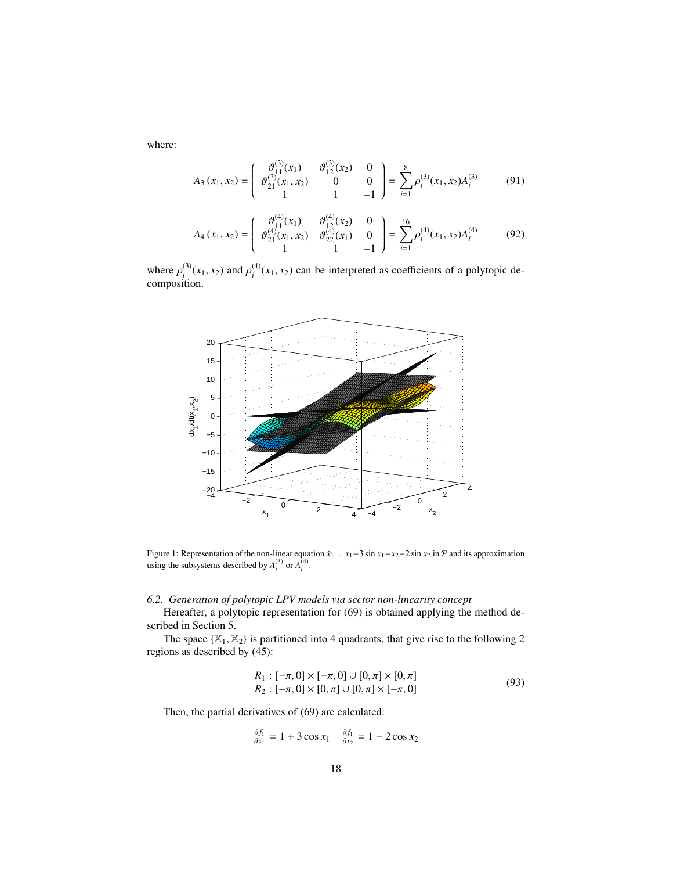where:

$$
A_3(x_1, x_2) = \begin{pmatrix} \vartheta_{11}^{(3)}(x_1) & \vartheta_{12}^{(3)}(x_2) & 0\\ \vartheta_{21}^{(3)}(x_1, x_2) & 0 & 0\\ 1 & 1 & -1 \end{pmatrix} = \sum_{i=1}^8 \rho_i^{(3)}(x_1, x_2) A_i^{(3)} \tag{91}
$$

$$
A_4(x_1, x_2) = \begin{pmatrix} \vartheta_{11}^{(4)}(x_1) & \vartheta_{12}^{(4)}(x_2) & 0\\ \vartheta_{21}^{(4)}(x_1, x_2) & \vartheta_{22}^{(4)}(x_1) & 0\\ 1 & 1 & -1 \end{pmatrix} = \sum_{i=1}^{16} \rho_i^{(4)}(x_1, x_2) A_i^{(4)} \tag{92}
$$

where  $\rho_i^{(3)}(x_1, x_2)$  and  $\rho_i^{(4)}(x_1, x_2)$  can be interpreted as coefficients of a polytopic decomposition.



Figure 1: Representation of the non-linear equation  $\dot{x}_1 = x_1 + 3 \sin x_1 + x_2 - 2 \sin x_2$  in  $P$  and its approximation using the subsystems described by  $A_i^{(3)}$  or  $A_i^{(4)}$ .

# *6.2. Generation of polytopic LPV models via sector non-linearity concept*

Hereafter, a polytopic representation for (69) is obtained applying the method described in Section 5.

The space  $\{X_1, X_2\}$  is partitioned into 4 quadrants, that give rise to the following 2 regions as described by (45):

$$
R_1: [-\pi, 0] \times [-\pi, 0] \cup [0, \pi] \times [0, \pi]
$$
  
\n
$$
R_2: [-\pi, 0] \times [0, \pi] \cup [0, \pi] \times [-\pi, 0]
$$
\n(93)

Then, the partial derivatives of (69) are calculated:

$$
\frac{\partial f_1}{\partial x_1} = 1 + 3\cos x_1 \quad \frac{\partial f_1}{\partial x_2} = 1 - 2\cos x_2
$$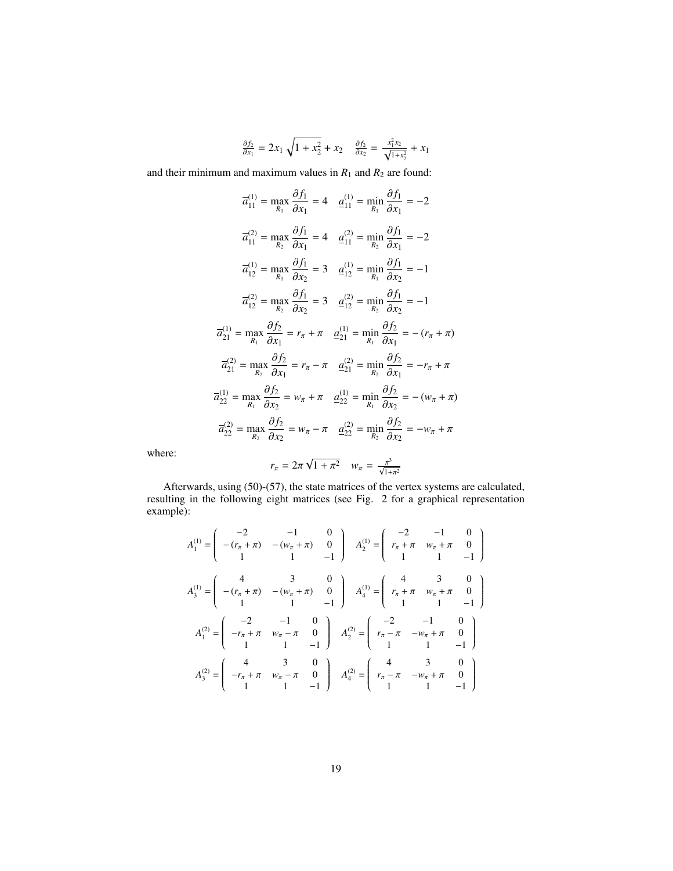$$
\frac{\partial f_2}{\partial x_1} = 2x_1 \sqrt{1 + x_2^2} + x_2 \quad \frac{\partial f_2}{\partial x_2} = \frac{x_1^2 x_2}{\sqrt{1 + x_2^2}} + x_1
$$

and their minimum and maximum values in  $R_1$  and  $R_2$  are found:

$$
\overline{a}_{11}^{(1)} = \max_{R_1} \frac{\partial f_1}{\partial x_1} = 4 \quad \underline{a}_{11}^{(1)} = \min_{R_1} \frac{\partial f_1}{\partial x_1} = -2
$$
\n
$$
\overline{a}_{11}^{(2)} = \max_{R_2} \frac{\partial f_1}{\partial x_1} = 4 \quad \underline{a}_{11}^{(2)} = \min_{R_2} \frac{\partial f_1}{\partial x_1} = -2
$$
\n
$$
\overline{a}_{12}^{(1)} = \max_{R_1} \frac{\partial f_1}{\partial x_2} = 3 \quad \underline{a}_{12}^{(1)} = \min_{R_1} \frac{\partial f_1}{\partial x_2} = -1
$$
\n
$$
\overline{a}_{12}^{(2)} = \max_{R_2} \frac{\partial f_1}{\partial x_2} = 3 \quad \underline{a}_{12}^{(2)} = \min_{R_2} \frac{\partial f_1}{\partial x_2} = -1
$$
\n
$$
\overline{a}_{21}^{(1)} = \max_{R_1} \frac{\partial f_2}{\partial x_1} = r_\pi + \pi \quad \underline{a}_{21}^{(1)} = \min_{R_1} \frac{\partial f_2}{\partial x_1} = -(r_\pi + \pi)
$$
\n
$$
\overline{a}_{21}^{(2)} = \max_{R_2} \frac{\partial f_2}{\partial x_1} = r_\pi - \pi \quad \underline{a}_{21}^{(2)} = \min_{R_2} \frac{\partial f_2}{\partial x_1} = -r_\pi + \pi
$$
\n
$$
\overline{a}_{22}^{(1)} = \max_{R_1} \frac{\partial f_2}{\partial x_2} = w_\pi + \pi \quad \underline{a}_{22}^{(1)} = \min_{R_1} \frac{\partial f_2}{\partial x_2} = -(w_\pi + \pi)
$$
\n
$$
\overline{a}_{22}^{(2)} = \max_{R_2} \frac{\partial f_2}{\partial x_2} = w_\pi - \pi \quad \underline{a}_{22}^{(2)} = \min_{R_2} \frac{\partial f_2}{\partial x_2} = -w_\pi + \pi
$$

where:

$$
r_{\pi} = 2\pi \sqrt{1 + \pi^2} \quad w_{\pi} = \frac{\pi^3}{\sqrt{1 + \pi^2}}
$$

Afterwards, using (50)-(57), the state matrices of the vertex systems are calculated, resulting in the following eight matrices (see Fig. 2 for a graphical representation example):

$$
A_1^{(1)} = \begin{pmatrix} -2 & -1 & 0 \\ -(r_\pi + \pi) & -(w_\pi + \pi) & 0 \\ 1 & 1 & -1 \end{pmatrix} \quad A_2^{(1)} = \begin{pmatrix} -2 & -1 & 0 \\ r_\pi + \pi & w_\pi + \pi & 0 \\ 1 & 1 & -1 \end{pmatrix}
$$

$$
A_3^{(1)} = \begin{pmatrix} 4 & 3 & 0 \\ -(r_\pi + \pi) & -(w_\pi + \pi) & 0 \\ 1 & 1 & -1 \end{pmatrix} \quad A_4^{(1)} = \begin{pmatrix} 4 & 3 & 0 \\ r_\pi + \pi & w_\pi + \pi & 0 \\ 1 & 1 & -1 \end{pmatrix}
$$

$$
A_1^{(2)} = \begin{pmatrix} -2 & -1 & 0 \\ -r_\pi + \pi & w_\pi - \pi & 0 \\ 1 & 1 & -1 \end{pmatrix} \quad A_2^{(2)} = \begin{pmatrix} -2 & -1 & 0 \\ r_\pi - \pi & -w_\pi + \pi & 0 \\ 1 & 1 & -1 \end{pmatrix}
$$

$$
A_3^{(2)} = \begin{pmatrix} 4 & 3 & 0 \\ -r_\pi + \pi & w_\pi - \pi & 0 \\ 1 & 1 & -1 \end{pmatrix} \quad A_4^{(2)} = \begin{pmatrix} 4 & 3 & 0 \\ r_\pi - \pi & -w_\pi + \pi & 0 \\ 1 & 1 & -1 \end{pmatrix}
$$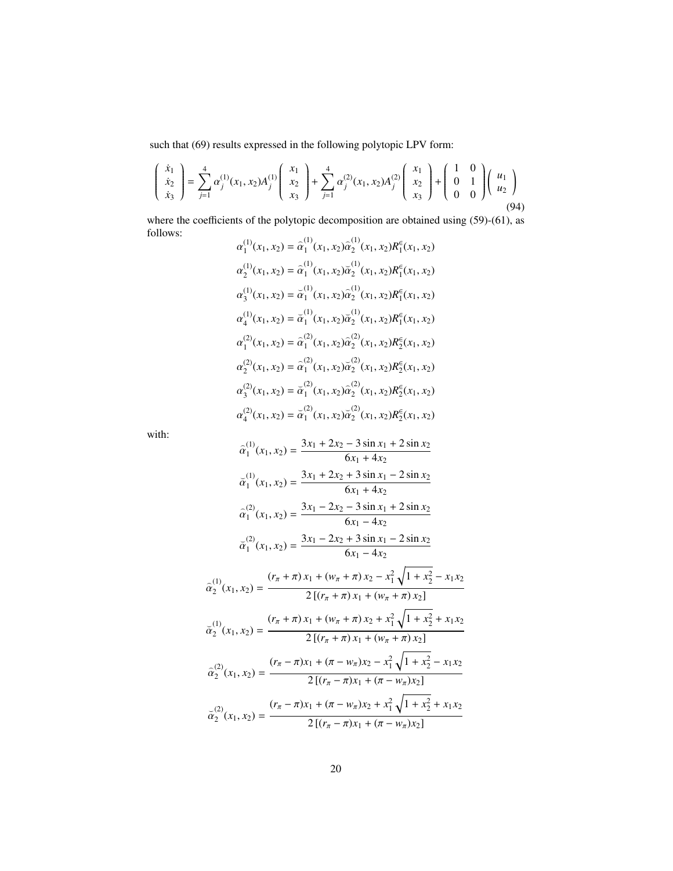such that (69) results expressed in the following polytopic LPV form:

$$
\begin{pmatrix} \dot{x}_1 \\ \dot{x}_2 \\ \dot{x}_3 \end{pmatrix} = \sum_{j=1}^4 \alpha_j^{(1)}(x_1, x_2) A_j^{(1)} \begin{pmatrix} x_1 \\ x_2 \\ x_3 \end{pmatrix} + \sum_{j=1}^4 \alpha_j^{(2)}(x_1, x_2) A_j^{(2)} \begin{pmatrix} x_1 \\ x_2 \\ x_3 \end{pmatrix} + \begin{pmatrix} 1 & 0 \\ 0 & 1 \\ 0 & 0 \end{pmatrix} \begin{pmatrix} u_1 \\ u_2 \end{pmatrix}
$$
(94)

where the coefficients of the polytopic decomposition are obtained using (59)-(61), as follows:  $(1)$  $(1)$ 

$$
\alpha_1^{(1)}(x_1, x_2) = \hat{\alpha}_1^{(1)}(x_1, x_2)\hat{\alpha}_2^{(1)}(x_1, x_2)R_1^{\epsilon}(x_1, x_2)
$$
  
\n
$$
\alpha_2^{(1)}(x_1, x_2) = \hat{\alpha}_1^{(1)}(x_1, x_2)\hat{\alpha}_2^{(1)}(x_1, x_2)R_1^{\epsilon}(x_1, x_2)
$$
  
\n
$$
\alpha_3^{(1)}(x_1, x_2) = \check{\alpha}_1^{(1)}(x_1, x_2)\hat{\alpha}_2^{(1)}(x_1, x_2)R_1^{\epsilon}(x_1, x_2)
$$
  
\n
$$
\alpha_4^{(1)}(x_1, x_2) = \check{\alpha}_1^{(1)}(x_1, x_2)\check{\alpha}_2^{(1)}(x_1, x_2)R_1^{\epsilon}(x_1, x_2)
$$
  
\n
$$
\alpha_4^{(2)}(x_1, x_2) = \hat{\alpha}_1^{(2)}(x_1, x_2)\hat{\alpha}_2^{(2)}(x_1, x_2)R_2^{\epsilon}(x_1, x_2)
$$
  
\n
$$
\alpha_2^{(2)}(x_1, x_2) = \hat{\alpha}_1^{(2)}(x_1, x_2)\check{\alpha}_2^{(2)}(x_1, x_2)R_2^{\epsilon}(x_1, x_2)
$$
  
\n
$$
\alpha_3^{(2)}(x_1, x_2) = \check{\alpha}_1^{(2)}(x_1, x_2)\hat{\alpha}_2^{(2)}(x_1, x_2)R_2^{\epsilon}(x_1, x_2)
$$
  
\n
$$
\alpha_4^{(2)}(x_1, x_2) = \check{\alpha}_1^{(2)}(x_1, x_2)\check{\alpha}_2^{(2)}(x_1, x_2)R_2^{\epsilon}(x_1, x_2)
$$

with:

\_ α

^ α

$$
\hat{\alpha}_{1}^{(1)}(x_{1}, x_{2}) = \frac{3x_{1} + 2x_{2} - 3\sin x_{1} + 2\sin x_{2}}{6x_{1} + 4x_{2}}
$$
\n
$$
\frac{c_{1}}{\alpha}_{1}^{(1)}(x_{1}, x_{2}) = \frac{3x_{1} + 2x_{2} + 3\sin x_{1} - 2\sin x_{2}}{6x_{1} + 4x_{2}}
$$
\n
$$
\hat{\alpha}_{1}^{(2)}(x_{1}, x_{2}) = \frac{3x_{1} - 2x_{2} - 3\sin x_{1} + 2\sin x_{2}}{6x_{1} - 4x_{2}}
$$
\n
$$
\frac{c_{2}}{\alpha}_{1}^{(2)}(x_{1}, x_{2}) = \frac{3x_{1} - 2x_{2} + 3\sin x_{1} - 2\sin x_{2}}{6x_{1} - 4x_{2}}
$$
\n
$$
\hat{\alpha}_{2}^{(1)}(x_{1}, x_{2}) = \frac{(r_{\pi} + \pi)x_{1} + (w_{\pi} + \pi)x_{2} - x_{1}^{2}\sqrt{1 + x_{2}^{2}} - x_{1}x_{2}}{2[r_{\pi} + \pi)x_{1} + (w_{\pi} + \pi)x_{2} + x_{1}^{2}\sqrt{1 + x_{2}^{2}} + x_{1}x_{2}}
$$
\n
$$
\frac{c_{1}^{(1)}(x_{1}, x_{2})}{x_{2}^{(2)}(x_{1}, x_{2})} = \frac{(r_{\pi} + \pi)x_{1} + (w_{\pi} + \pi)x_{2} + x_{1}^{2}\sqrt{1 + x_{2}^{2}} + x_{1}x_{2}}{2[r_{\pi} + \pi)x_{1} + (w_{\pi} + \pi)x_{2}]}
$$
\n
$$
\hat{\alpha}_{2}^{(2)}(x_{1}, x_{2}) = \frac{(r_{\pi} - \pi)x_{1} + (\pi - w_{\pi})x_{2} - x_{1}^{2}\sqrt{1 + x_{2}^{2}} - x_{1}x_{2}}{2[r_{\pi} - \pi)x_{1} + (\pi - w_{\pi})x_{2} + x_{1}^{2}\sqrt{1 + x_{2}^{2}} + x_{1}x_{2}}
$$
\n
$$
\frac{c_{2}^{(2)}(x_{1}, x_{2})}{\alpha_{2}^{2}(x_{1}, x
$$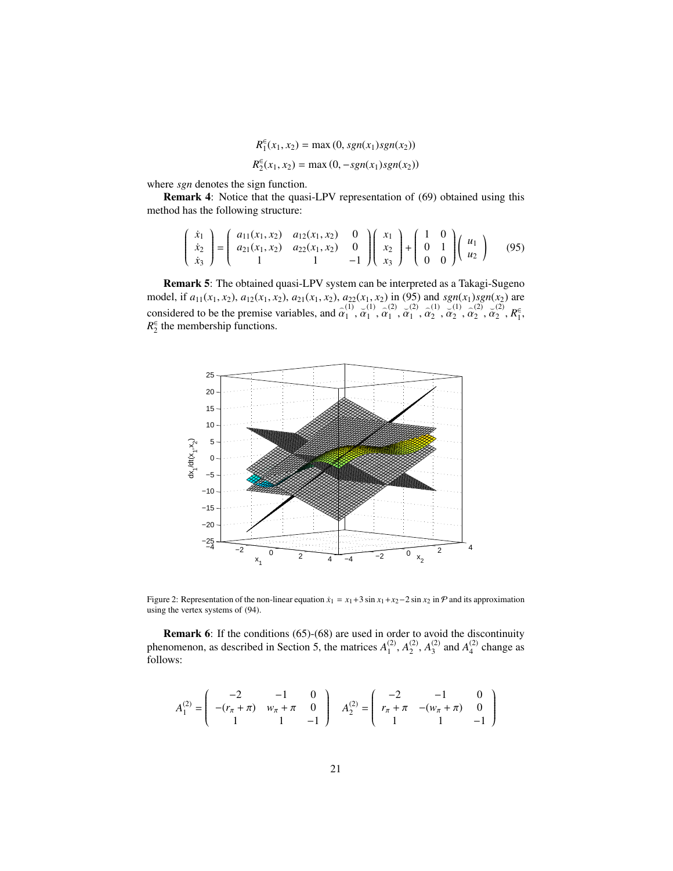$$
R_1^{\in}(x_1, x_2) = \max(0, sgn(x_1)sgn(x_2))
$$
  

$$
R_2^{\in}(x_1, x_2) = \max(0, -sgn(x_1)sgn(x_2))
$$

where *sgn* denotes the sign function.

Remark 4: Notice that the quasi-LPV representation of (69) obtained using this method has the following structure:

$$
\begin{pmatrix} \dot{x}_1 \\ \dot{x}_2 \\ \dot{x}_3 \end{pmatrix} = \begin{pmatrix} a_{11}(x_1, x_2) & a_{12}(x_1, x_2) & 0 \\ a_{21}(x_1, x_2) & a_{22}(x_1, x_2) & 0 \\ 1 & 1 & -1 \end{pmatrix} \begin{pmatrix} x_1 \\ x_2 \\ x_3 \end{pmatrix} + \begin{pmatrix} 1 & 0 \\ 0 & 1 \\ 0 & 0 \end{pmatrix} \begin{pmatrix} u_1 \\ u_2 \end{pmatrix}
$$
 (95)

Remark 5: The obtained quasi-LPV system can be interpreted as a Takagi-Sugeno model, if  $a_{11}(x_1, x_2)$ ,  $a_{12}(x_1, x_2)$ ,  $a_{21}(x_1, x_2)$ ,  $a_{22}(x_1, x_2)$  in (95) and  $sgn(x_1)sgn(x_2)$  are considered to be the premise variables, and  $\hat{\alpha}_1^{(1)}$ ,  $\hat{\alpha}_1^{(1)}$ ,  $\hat{\alpha}_1^{(2)}$ ,  $\hat{\alpha}_2^{(2)}$ ,  $\hat{\alpha}_2^{(1)}$ , (1)  $\tilde{a}$ ,  $\tilde{\alpha}$ (1)  $\hat{a}$ ,  $\hat{a}$ (2)  $\tilde{a}^{\prime\prime}$ ,  $\tilde{\alpha}$ (2)  $\hat{a}$ ,  $\hat{a}$ (1)  $\sum_{2}^{\infty}$ ,  $\alpha$ (1)  $\hat{a}$ ,  $\hat{a}$ (2)  $\overline{a}^{\prime\prime}$ ,  $\overline{\alpha}$ (2)  $R_2^{(2)}$ ,  $R_1^{\infty}$ ,  $R_2^{\epsilon}$  the membership functions.



Figure 2: Representation of the non-linear equation  $\dot{x}_1 = x_1 + 3 \sin x_1 + x_2 - 2 \sin x_2$  in  $\mathcal P$  and its approximation using the vertex systems of (94).

**Remark 6**: If the conditions (65)-(68) are used in order to avoid the discontinuity phenomenon, as described in Section 5, the matrices  $A_1^{(2)}$  $\binom{2}{1}$ ,  $A_2^{(2)}$  $\binom{2}{2}$ ,  $A_3^{(2)}$  $_3^{(2)}$  and  $A_4^{(2)}$  $_4^{(2)}$  change as follows:

$$
A_1^{(2)} = \begin{pmatrix} -2 & -1 & 0 \\ -(r_\pi + \pi) & w_\pi + \pi & 0 \\ 1 & 1 & -1 \end{pmatrix} \quad A_2^{(2)} = \begin{pmatrix} -2 & -1 & 0 \\ r_\pi + \pi & -(w_\pi + \pi) & 0 \\ 1 & 1 & -1 \end{pmatrix}
$$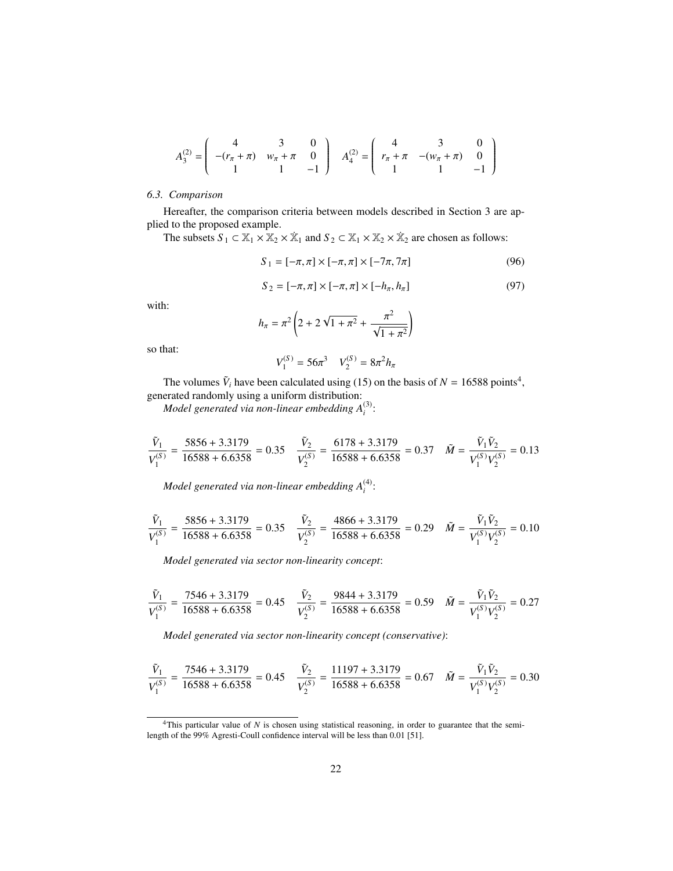$$
A_3^{(2)} = \begin{pmatrix} 4 & 3 & 0 \\ -(r_\pi + \pi) & w_\pi + \pi & 0 \\ 1 & 1 & -1 \end{pmatrix} \quad A_4^{(2)} = \begin{pmatrix} 4 & 3 & 0 \\ r_\pi + \pi & -(w_\pi + \pi) & 0 \\ 1 & 1 & -1 \end{pmatrix}
$$

# *6.3. Comparison*

Hereafter, the comparison criteria between models described in Section 3 are applied to the proposed example.

The subsets  $S_1 \subset \mathbb{X}_1 \times \mathbb{X}_2 \times \mathbb{X}_1$  and  $S_2 \subset \mathbb{X}_1 \times \mathbb{X}_2 \times \mathbb{X}_2$  are chosen as follows:

$$
S_1 = [-\pi, \pi] \times [-\pi, \pi] \times [-7\pi, 7\pi]
$$
\n
$$
(96)
$$

$$
S_2 = [-\pi, \pi] \times [-\pi, \pi] \times [-h_\pi, h_\pi]
$$
\n
$$
(97)
$$

with:

$$
h_{\pi} = \pi^2 \left( 2 + 2\sqrt{1 + \pi^2} + \frac{\pi^2}{\sqrt{1 + \pi^2}} \right)
$$

so that:

$$
V_1^{(S)} = 56\pi^3 \quad V_2^{(S)} = 8\pi^2 h_\pi
$$

The volumes  $\tilde{V}_i$  have been calculated using (15) on the basis of  $N = 16588$  points<sup>4</sup>, generated randomly using a uniform distribution:

*Model generated via non-linear embedding*  $A_i^{(3)}$ :

$$
\frac{\tilde{V}_1}{V_1^{(S)}} = \frac{5856 + 3.3179}{16588 + 6.6358} = 0.35
$$
\n
$$
\frac{\tilde{V}_2}{V_2^{(S)}} = \frac{6178 + 3.3179}{16588 + 6.6358} = 0.37
$$
\n
$$
\tilde{M} = \frac{\tilde{V}_1 \tilde{V}_2}{V_1^{(S)} V_2^{(S)}} = 0.13
$$

*Model generated via non-linear embedding*  $A_i^{(4)}$ *:* 

$$
\frac{\tilde{V}_1}{V_1^{(S)}} = \frac{5856 + 3.3179}{16588 + 6.6358} = 0.35
$$
\n
$$
\frac{\tilde{V}_2}{V_2^{(S)}} = \frac{4866 + 3.3179}{16588 + 6.6358} = 0.29
$$
\n
$$
\tilde{M} = \frac{\tilde{V}_1 \tilde{V}_2}{V_1^{(S)} V_2^{(S)}} = 0.10
$$

*Model generated via sector non-linearity concept*:

$$
\frac{\tilde{V}_1}{V_1^{(S)}} = \frac{7546 + 3.3179}{16588 + 6.6358} = 0.45
$$
\n
$$
\frac{\tilde{V}_2}{V_2^{(S)}} = \frac{9844 + 3.3179}{16588 + 6.6358} = 0.59
$$
\n
$$
\tilde{M} = \frac{\tilde{V}_1 \tilde{V}_2}{V_1^{(S)} V_2^{(S)}} = 0.27
$$

*Model generated via sector non-linearity concept (conservative)*:

$$
\frac{\tilde{V}_1}{V_1^{(S)}} = \frac{7546 + 3.3179}{16588 + 6.6358} = 0.45
$$
\n
$$
\frac{\tilde{V}_2}{V_2^{(S)}} = \frac{11197 + 3.3179}{16588 + 6.6358} = 0.67
$$
\n
$$
\tilde{M} = \frac{\tilde{V}_1 \tilde{V}_2}{V_1^{(S)} V_2^{(S)}} = 0.30
$$

<sup>&</sup>lt;sup>4</sup>This particular value of *N* is chosen using statistical reasoning, in order to guarantee that the semilength of the 99% Agresti-Coull confidence interval will be less than 0.01 [51].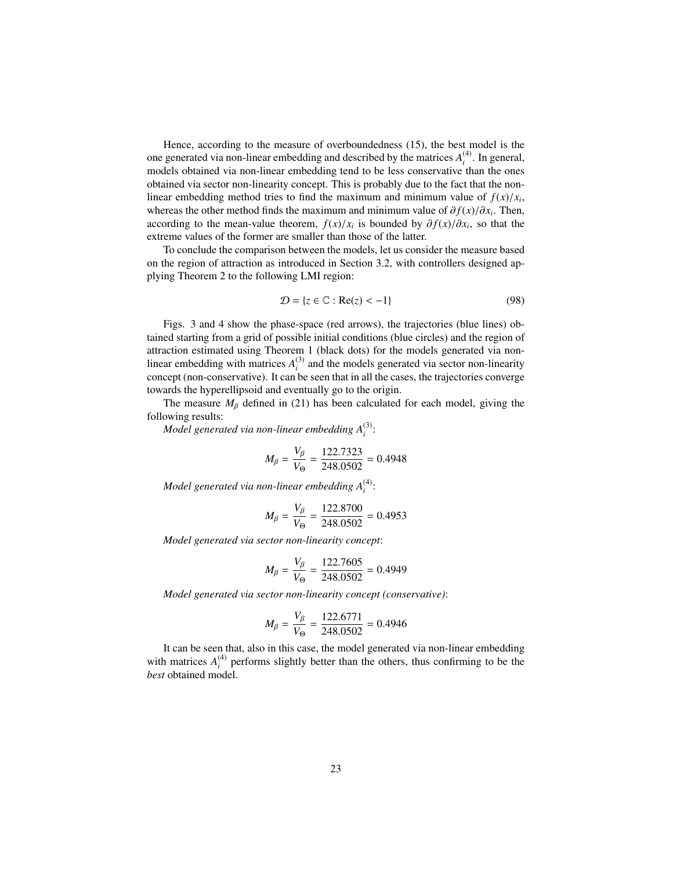Hence, according to the measure of overboundedness (15), the best model is the one generated via non-linear embedding and described by the matrices  $A_i^{(4)}$ . In general, models obtained via non-linear embedding tend to be less conservative than the ones obtained via sector non-linearity concept. This is probably due to the fact that the nonlinear embedding method tries to find the maximum and minimum value of  $f(x)/x$ *i*, whereas the other method finds the maximum and minimum value of  $\partial f(x)/\partial x$ . Then whereas the other method finds the maximum and minimum value of  $\partial f(x)/\partial x_i$ . Then, according to the mean-value theorem  $f(x)/x_i$  is bounded by  $\partial f(x)/\partial x_i$ , so that the according to the mean-value theorem,  $f(x)/x_i$  is bounded by  $\partial f(x)/\partial x_i$ , so that the extreme values of the former are smaller than those of the latter extreme values of the former are smaller than those of the latter.

To conclude the comparison between the models, let us consider the measure based on the region of attraction as introduced in Section 3.2, with controllers designed applying Theorem 2 to the following LMI region:

$$
\mathcal{D} = \{z \in \mathbb{C} : \text{Re}(z) < -1\} \tag{98}
$$

Figs. 3 and 4 show the phase-space (red arrows), the trajectories (blue lines) obtained starting from a grid of possible initial conditions (blue circles) and the region of attraction estimated using Theorem 1 (black dots) for the models generated via nonlinear embedding with matrices  $A_i^{(3)}$  and the models generated via sector non-linearity concept (non-conservative). It can be seen that in all the cases, the trajectories converge towards the hyperellipsoid and eventually go to the origin.

The measure  $M_\beta$  defined in (21) has been calculated for each model, giving the following results:

*Model generated via non-linear embedding*  $A_i^{(3)}$ *:* 

$$
M_{\beta} = \frac{V_{\beta}}{V_{\Theta}} = \frac{122.7323}{248.0502} = 0.4948
$$

*Model generated via non-linear embedding*  $A_i^{(4)}$ *:* 

$$
M_{\beta} = \frac{V_{\beta}}{V_{\Theta}} = \frac{122.8700}{248.0502} = 0.4953
$$

*Model generated via sector non-linearity concept*:

$$
M_{\beta} = \frac{V_{\beta}}{V_{\Theta}} = \frac{122.7605}{248.0502} = 0.4949
$$

 $M_{\beta} = \frac{V_{\beta}}{V_{\Theta}} = \frac{12217600}{248.0502} = 0.4949$ <br>Model generated via sector non-linearity concept (conservative):

$$
M_{\beta} = \frac{V_{\beta}}{V_{\Theta}} = \frac{122.6771}{248.0502} = 0.4946
$$

 $M_{\beta} = \frac{P}{V_{\Theta}} = \frac{12218771}{248.0502} = 0.4946$ <br>It can be seen that, also in this case, the model generated via non-linear embedding with matrices  $A_i^{(4)}$  performs slightly better than the others, thus confirming to be the *best* obtained model.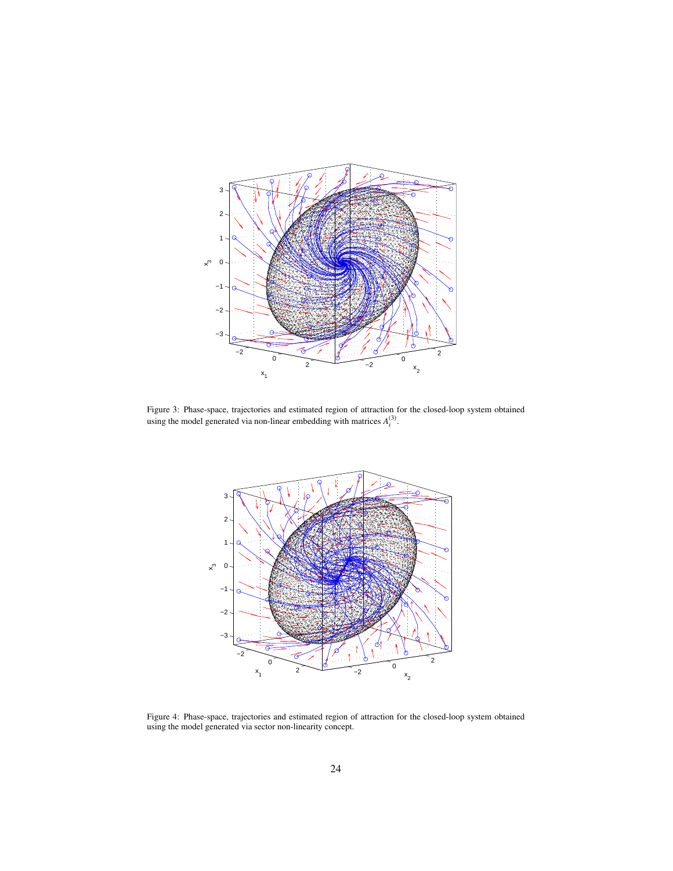

Figure 3: Phase-space, trajectories and estimated region of attraction for the closed-loop system obtained using the model generated via non-linear embedding with matrices  $A_i^{(3)}$ .



Figure 4: Phase-space, trajectories and estimated region of attraction for the closed-loop system obtained using the model generated via sector non-linearity concept.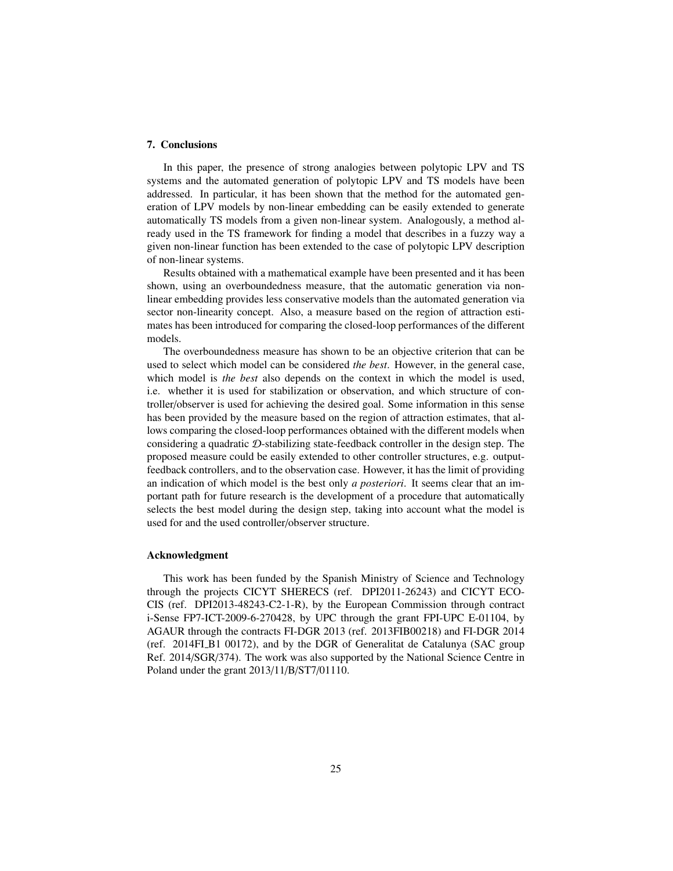## 7. Conclusions

In this paper, the presence of strong analogies between polytopic LPV and TS systems and the automated generation of polytopic LPV and TS models have been addressed. In particular, it has been shown that the method for the automated generation of LPV models by non-linear embedding can be easily extended to generate automatically TS models from a given non-linear system. Analogously, a method already used in the TS framework for finding a model that describes in a fuzzy way a given non-linear function has been extended to the case of polytopic LPV description of non-linear systems.

Results obtained with a mathematical example have been presented and it has been shown, using an overboundedness measure, that the automatic generation via nonlinear embedding provides less conservative models than the automated generation via sector non-linearity concept. Also, a measure based on the region of attraction estimates has been introduced for comparing the closed-loop performances of the different models.

The overboundedness measure has shown to be an objective criterion that can be used to select which model can be considered *the best*. However, in the general case, which model is *the best* also depends on the context in which the model is used, i.e. whether it is used for stabilization or observation, and which structure of controller/observer is used for achieving the desired goal. Some information in this sense has been provided by the measure based on the region of attraction estimates, that allows comparing the closed-loop performances obtained with the different models when considering a quadratic D-stabilizing state-feedback controller in the design step. The proposed measure could be easily extended to other controller structures, e.g. outputfeedback controllers, and to the observation case. However, it has the limit of providing an indication of which model is the best only *a posteriori*. It seems clear that an important path for future research is the development of a procedure that automatically selects the best model during the design step, taking into account what the model is used for and the used controller/observer structure.

#### Acknowledgment

This work has been funded by the Spanish Ministry of Science and Technology through the projects CICYT SHERECS (ref. DPI2011-26243) and CICYT ECO-CIS (ref. DPI2013-48243-C2-1-R), by the European Commission through contract i-Sense FP7-ICT-2009-6-270428, by UPC through the grant FPI-UPC E-01104, by AGAUR through the contracts FI-DGR 2013 (ref. 2013FIB00218) and FI-DGR 2014 (ref. 2014FI B1 00172), and by the DGR of Generalitat de Catalunya (SAC group Ref. 2014/SGR/374). The work was also supported by the National Science Centre in Poland under the grant 2013/11/B/ST7/01110.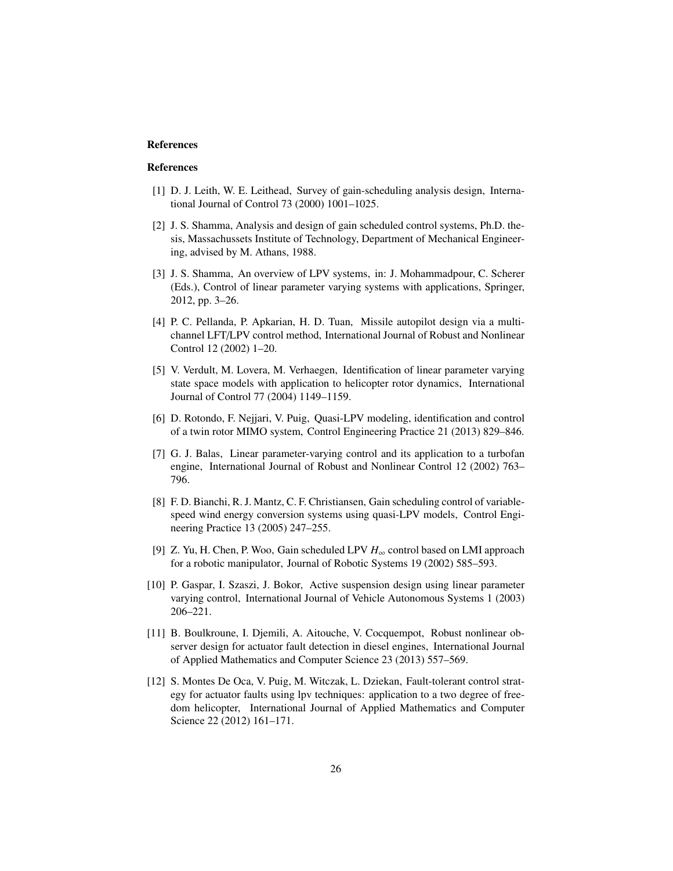# References

## References

- [1] D. J. Leith, W. E. Leithead, Survey of gain-scheduling analysis design, International Journal of Control 73 (2000) 1001–1025.
- [2] J. S. Shamma, Analysis and design of gain scheduled control systems, Ph.D. thesis, Massachussets Institute of Technology, Department of Mechanical Engineering, advised by M. Athans, 1988.
- [3] J. S. Shamma, An overview of LPV systems, in: J. Mohammadpour, C. Scherer (Eds.), Control of linear parameter varying systems with applications, Springer, 2012, pp. 3–26.
- [4] P. C. Pellanda, P. Apkarian, H. D. Tuan, Missile autopilot design via a multichannel LFT/LPV control method, International Journal of Robust and Nonlinear Control 12 (2002) 1–20.
- [5] V. Verdult, M. Lovera, M. Verhaegen, Identification of linear parameter varying state space models with application to helicopter rotor dynamics, International Journal of Control 77 (2004) 1149–1159.
- [6] D. Rotondo, F. Nejjari, V. Puig, Quasi-LPV modeling, identification and control of a twin rotor MIMO system, Control Engineering Practice 21 (2013) 829–846.
- [7] G. J. Balas, Linear parameter-varying control and its application to a turbofan engine, International Journal of Robust and Nonlinear Control 12 (2002) 763– 796.
- [8] F. D. Bianchi, R. J. Mantz, C. F. Christiansen, Gain scheduling control of variablespeed wind energy conversion systems using quasi-LPV models, Control Engineering Practice 13 (2005) 247–255.
- [9] Z. Yu, H. Chen, P. Woo, Gain scheduled LPV *H*<sup>∞</sup> control based on LMI approach for a robotic manipulator, Journal of Robotic Systems 19 (2002) 585–593.
- [10] P. Gaspar, I. Szaszi, J. Bokor, Active suspension design using linear parameter varying control, International Journal of Vehicle Autonomous Systems 1 (2003) 206–221.
- [11] B. Boulkroune, I. Djemili, A. Aitouche, V. Cocquempot, Robust nonlinear observer design for actuator fault detection in diesel engines, International Journal of Applied Mathematics and Computer Science 23 (2013) 557–569.
- [12] S. Montes De Oca, V. Puig, M. Witczak, L. Dziekan, Fault-tolerant control strategy for actuator faults using lpv techniques: application to a two degree of freedom helicopter, International Journal of Applied Mathematics and Computer Science 22 (2012) 161–171.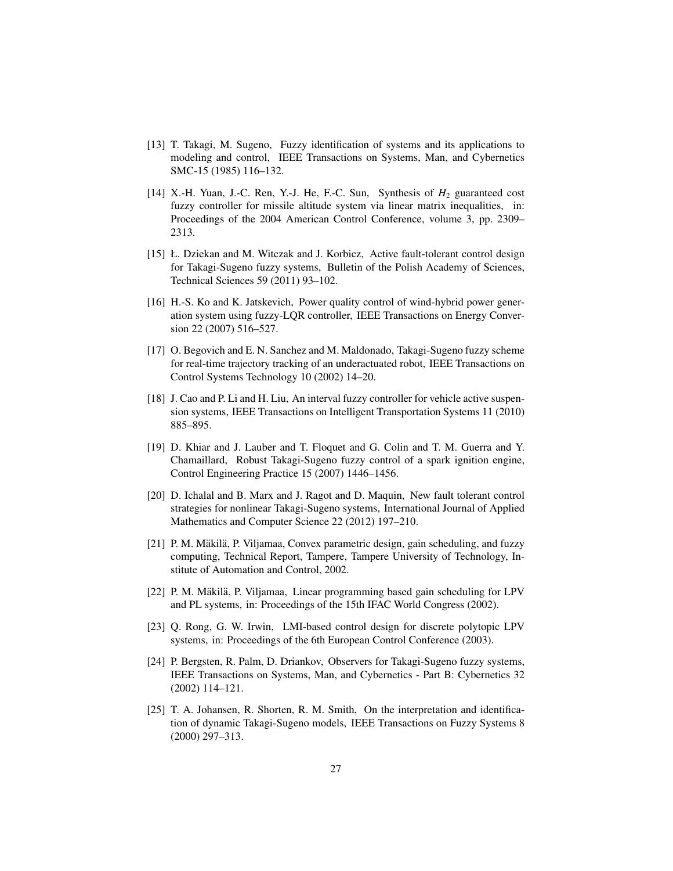- [13] T. Takagi, M. Sugeno, Fuzzy identification of systems and its applications to modeling and control, IEEE Transactions on Systems, Man, and Cybernetics SMC-15 (1985) 116–132.
- [14] X.-H. Yuan, J.-C. Ren, Y.-J. He, F.-C. Sun, Synthesis of  $H_2$  guaranteed cost fuzzy controller for missile altitude system via linear matrix inequalities, in: Proceedings of the 2004 American Control Conference, volume 3, pp. 2309– 2313.
- [15] Ł. Dziekan and M. Witczak and J. Korbicz, Active fault-tolerant control design for Takagi-Sugeno fuzzy systems, Bulletin of the Polish Academy of Sciences, Technical Sciences 59 (2011) 93–102.
- [16] H.-S. Ko and K. Jatskevich, Power quality control of wind-hybrid power generation system using fuzzy-LQR controller, IEEE Transactions on Energy Conversion 22 (2007) 516–527.
- [17] O. Begovich and E. N. Sanchez and M. Maldonado, Takagi-Sugeno fuzzy scheme for real-time trajectory tracking of an underactuated robot, IEEE Transactions on Control Systems Technology 10 (2002) 14–20.
- [18] J. Cao and P. Li and H. Liu, An interval fuzzy controller for vehicle active suspension systems, IEEE Transactions on Intelligent Transportation Systems 11 (2010) 885–895.
- [19] D. Khiar and J. Lauber and T. Floquet and G. Colin and T. M. Guerra and Y. Chamaillard, Robust Takagi-Sugeno fuzzy control of a spark ignition engine, Control Engineering Practice 15 (2007) 1446–1456.
- [20] D. Ichalal and B. Marx and J. Ragot and D. Maquin, New fault tolerant control strategies for nonlinear Takagi-Sugeno systems, International Journal of Applied Mathematics and Computer Science 22 (2012) 197–210.
- [21] P. M. Mäkilä, P. Viljamaa, Convex parametric design, gain scheduling, and fuzzy computing, Technical Report, Tampere, Tampere University of Technology, Institute of Automation and Control, 2002.
- [22] P. M. Mäkilä, P. Viljamaa, Linear programming based gain scheduling for LPV and PL systems, in: Proceedings of the 15th IFAC World Congress (2002).
- [23] Q. Rong, G. W. Irwin, LMI-based control design for discrete polytopic LPV systems, in: Proceedings of the 6th European Control Conference (2003).
- [24] P. Bergsten, R. Palm, D. Driankov, Observers for Takagi-Sugeno fuzzy systems, IEEE Transactions on Systems, Man, and Cybernetics - Part B: Cybernetics 32 (2002) 114–121.
- [25] T. A. Johansen, R. Shorten, R. M. Smith, On the interpretation and identification of dynamic Takagi-Sugeno models, IEEE Transactions on Fuzzy Systems 8 (2000) 297–313.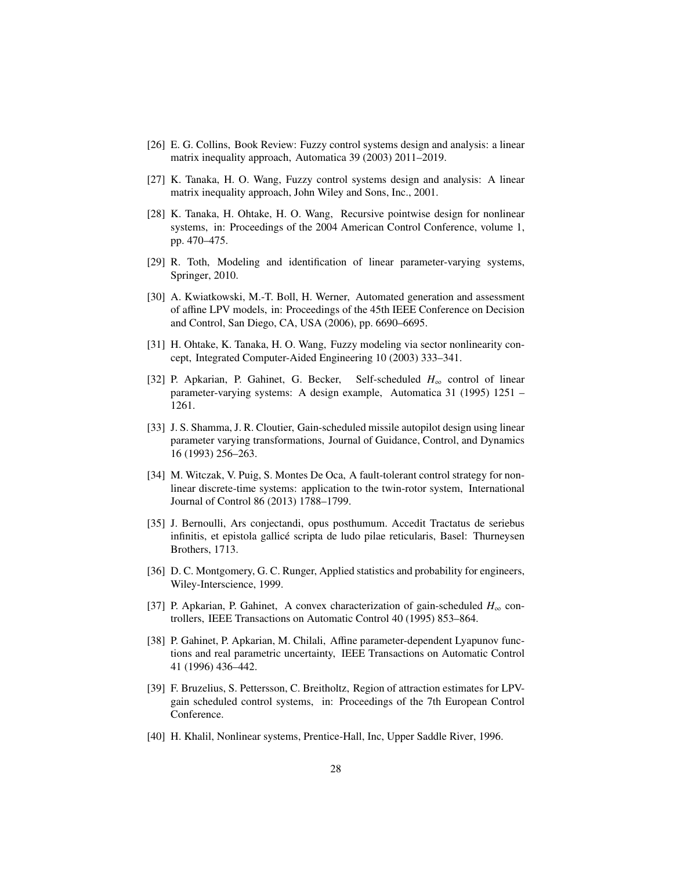- [26] E. G. Collins, Book Review: Fuzzy control systems design and analysis: a linear matrix inequality approach, Automatica 39 (2003) 2011–2019.
- [27] K. Tanaka, H. O. Wang, Fuzzy control systems design and analysis: A linear matrix inequality approach, John Wiley and Sons, Inc., 2001.
- [28] K. Tanaka, H. Ohtake, H. O. Wang, Recursive pointwise design for nonlinear systems, in: Proceedings of the 2004 American Control Conference, volume 1, pp. 470–475.
- [29] R. Toth, Modeling and identification of linear parameter-varying systems, Springer, 2010.
- [30] A. Kwiatkowski, M.-T. Boll, H. Werner, Automated generation and assessment of affine LPV models, in: Proceedings of the 45th IEEE Conference on Decision and Control, San Diego, CA, USA (2006), pp. 6690–6695.
- [31] H. Ohtake, K. Tanaka, H. O. Wang, Fuzzy modeling via sector nonlinearity concept, Integrated Computer-Aided Engineering 10 (2003) 333–341.
- [32] P. Apkarian, P. Gahinet, G. Becker, Self-scheduled *H*<sup>∞</sup> control of linear parameter-varying systems: A design example, Automatica 31 (1995) 1251 – 1261.
- [33] J. S. Shamma, J. R. Cloutier, Gain-scheduled missile autopilot design using linear parameter varying transformations, Journal of Guidance, Control, and Dynamics 16 (1993) 256–263.
- [34] M. Witczak, V. Puig, S. Montes De Oca, A fault-tolerant control strategy for nonlinear discrete-time systems: application to the twin-rotor system, International Journal of Control 86 (2013) 1788–1799.
- [35] J. Bernoulli, Ars conjectandi, opus posthumum. Accedit Tractatus de seriebus infinitis, et epistola gallicé scripta de ludo pilae reticularis, Basel: Thurneysen Brothers, 1713.
- [36] D. C. Montgomery, G. C. Runger, Applied statistics and probability for engineers, Wiley-Interscience, 1999.
- [37] P. Apkarian, P. Gahinet, A convex characterization of gain-scheduled *H*<sup>∞</sup> controllers, IEEE Transactions on Automatic Control 40 (1995) 853–864.
- [38] P. Gahinet, P. Apkarian, M. Chilali, Affine parameter-dependent Lyapunov functions and real parametric uncertainty, IEEE Transactions on Automatic Control 41 (1996) 436–442.
- [39] F. Bruzelius, S. Pettersson, C. Breitholtz, Region of attraction estimates for LPVgain scheduled control systems, in: Proceedings of the 7th European Control Conference.
- [40] H. Khalil, Nonlinear systems, Prentice-Hall, Inc, Upper Saddle River, 1996.